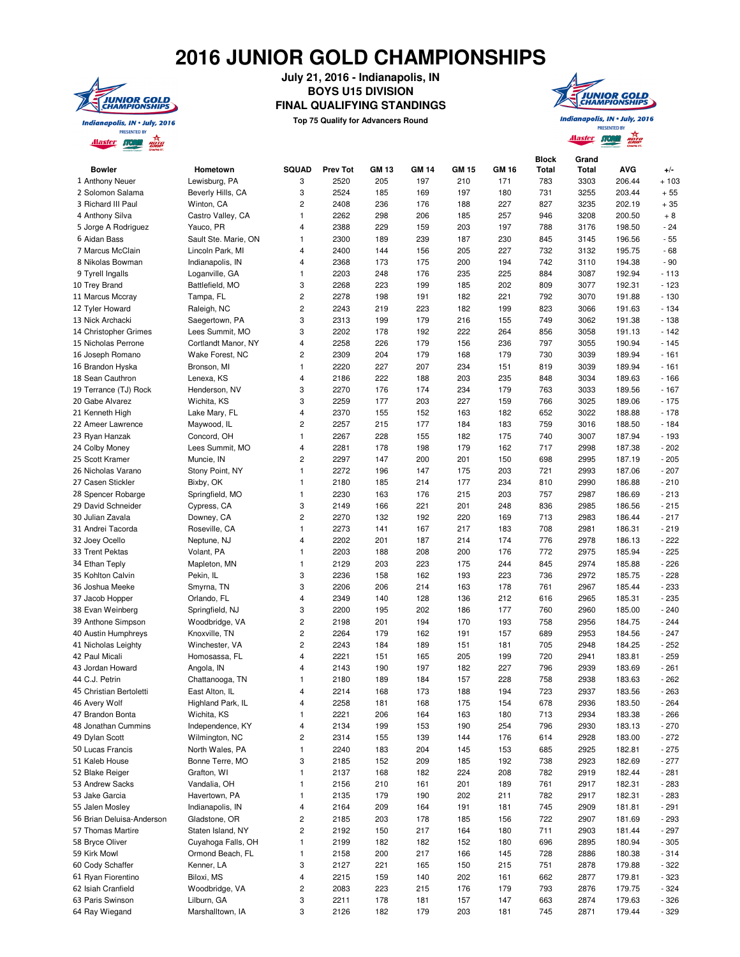## **2016 JUNIOR GOLD CHAMPIONSHIPS**



**July 21, 2016 - Indianapolis, IN BOYS U15 DIVISION FINAL QUALIFYING STANDINGS**

**Top 75 Qualify for Advancers Round**



**PRESENTED BY Master Storm aging** 

| <b>Bowler</b>             | Hometown                     | <b>SQUAD</b> | <b>Prev Tot</b> | <b>GM 13</b> | <b>GM 14</b> | <b>GM 15</b> | GM 16 | <b>Block</b><br><b>Total</b> | Grand<br>Total | AVG              | $+/-$  |
|---------------------------|------------------------------|--------------|-----------------|--------------|--------------|--------------|-------|------------------------------|----------------|------------------|--------|
| 1 Anthony Neuer           | Lewisburg, PA                | 3            | 2520            | 205          | 197          | 210          | 171   | 783                          | 3303           | 206.44           | $+103$ |
| 2 Solomon Salama          | Beverly Hills, CA            | 3            | 2524            | 185          | 169          | 197          | 180   | 731                          | 3255           | 203.44           | $+55$  |
| 3 Richard III Paul        | Winton, CA                   | 2            | 2408            | 236          | 176          | 188          | 227   | 827                          | 3235           | 202.19           | $+35$  |
| 4 Anthony Silva           | Castro Valley, CA            | 1            | 2262            | 298          | 206          | 185          | 257   | 946                          | 3208           | 200.50           | $+8$   |
| 5 Jorge A Rodriguez       | Yauco, PR                    | 4            | 2388            | 229          | 159          | 203          | 197   | 788                          | 3176           | 198.50           | $-24$  |
| 6 Aidan Bass              | Sault Ste. Marie, ON         | 1            | 2300            | 189          | 239          | 187          | 230   | 845                          | 3145           | 196.56           | $-55$  |
| 7 Marcus McClain          | Lincoln Park, MI             | 4            | 2400            | 144          | 156          | 205          | 227   | 732                          | 3132           | 195.75           | $-68$  |
| 8 Nikolas Bowman          | Indianapolis, IN             | 4            | 2368            | 173          | 175          | 200          | 194   | 742                          | 3110           | 194.38           | $-90$  |
| 9 Tyrell Ingalls          | Loganville, GA               | $\mathbf{1}$ | 2203            | 248          | 176          | 235          | 225   | 884                          | 3087           | 192.94           | $-113$ |
| 10 Trey Brand             | Battlefield, MO              | 3            | 2268            | 223          | 199          | 185          | 202   | 809                          | 3077           | 192.31           | $-123$ |
| 11 Marcus Mccray          | Tampa, FL                    | 2            | 2278            | 198          | 191          | 182          | 221   | 792                          | 3070           | 191.88           | $-130$ |
| 12 Tyler Howard           | Raleigh, NC                  | 2            | 2243            | 219          | 223          | 182          | 199   | 823                          | 3066           | 191.63           | $-134$ |
| 13 Nick Archacki          | Saegertown, PA               | 3            | 2313            | 199          | 179          | 216          | 155   | 749                          | 3062           | 191.38           | $-138$ |
| 14 Christopher Grimes     | Lees Summit, MO              | 3            | 2202            | 178          | 192          | 222          | 264   | 856                          | 3058           | 191.13           | $-142$ |
| 15 Nicholas Perrone       | Cortlandt Manor, NY          | 4            | 2258            | 226          | 179          | 156          | 236   | 797                          | 3055           | 190.94           | $-145$ |
| 16 Joseph Romano          | Wake Forest, NC              | 2            | 2309            | 204          | 179          | 168          | 179   | 730                          | 3039           | 189.94           | $-161$ |
| 16 Brandon Hyska          | Bronson, MI                  | 1            | 2220            | 227          | 207          | 234          | 151   | 819                          | 3039           | 189.94           | $-161$ |
| 18 Sean Cauthron          | Lenexa, KS                   | 4            | 2186            | 222          | 188          | 203          | 235   | 848                          | 3034           | 189.63           | $-166$ |
| 19 Terrance (TJ) Rock     | Henderson, NV                | 3            | 2270            | 176          | 174          | 234          | 179   | 763                          | 3033           | 189.56           | $-167$ |
| 20 Gabe Alvarez           | Wichita, KS                  | 3            | 2259            | 177          | 203          | 227          | 159   | 766                          | 3025           | 189.06           | $-175$ |
| 21 Kenneth High           |                              | 4            |                 |              |              | 163          |       |                              |                |                  |        |
|                           | Lake Mary, FL<br>Maywood, IL |              | 2370            | 155<br>215   | 152<br>177   | 184          | 182   | 652<br>759                   | 3022<br>3016   | 188.88<br>188.50 | $-178$ |
| 22 Ameer Lawrence         |                              | 2            | 2257            |              |              |              | 183   |                              |                |                  | $-184$ |
| 23 Ryan Hanzak            | Concord, OH                  | 1            | 2267            | 228          | 155          | 182          | 175   | 740                          | 3007           | 187.94           | $-193$ |
| 24 Colby Money            | Lees Summit, MO              | 4            | 2281            | 178          | 198          | 179          | 162   | 717                          | 2998           | 187.38           | $-202$ |
| 25 Scott Kramer           | Muncie, IN                   | 2            | 2297            | 147          | 200          | 201          | 150   | 698                          | 2995           | 187.19           | $-205$ |
| 26 Nicholas Varano        | Stony Point, NY              | $\mathbf{1}$ | 2272            | 196          | 147          | 175          | 203   | 721                          | 2993           | 187.06           | $-207$ |
| 27 Casen Stickler         | Bixby, OK                    | 1            | 2180            | 185          | 214          | 177          | 234   | 810                          | 2990           | 186.88           | $-210$ |
| 28 Spencer Robarge        | Springfield, MO              | 1            | 2230            | 163          | 176          | 215          | 203   | 757                          | 2987           | 186.69           | $-213$ |
| 29 David Schneider        | Cypress, CA                  | 3            | 2149            | 166          | 221          | 201          | 248   | 836                          | 2985           | 186.56           | $-215$ |
| 30 Julian Zavala          | Downey, CA                   | 2            | 2270            | 132          | 192          | 220          | 169   | 713                          | 2983           | 186.44           | $-217$ |
| 31 Andrei Tacorda         | Roseville, CA                | $\mathbf{1}$ | 2273            | 141          | 167          | 217          | 183   | 708                          | 2981           | 186.31           | $-219$ |
| 32 Joey Ocello            | Neptune, NJ                  | 4            | 2202            | 201          | 187          | 214          | 174   | 776                          | 2978           | 186.13           | $-222$ |
| 33 Trent Pektas           | Volant, PA                   | 1            | 2203            | 188          | 208          | 200          | 176   | 772                          | 2975           | 185.94           | $-225$ |
| 34 Ethan Teply            | Mapleton, MN                 | $\mathbf{1}$ | 2129            | 203          | 223          | 175          | 244   | 845                          | 2974           | 185.88           | $-226$ |
| 35 Kohlton Calvin         | Pekin, IL                    | 3            | 2236            | 158          | 162          | 193          | 223   | 736                          | 2972           | 185.75           | $-228$ |
| 36 Joshua Meeke           | Smyrna, TN                   | 3            | 2206            | 206          | 214          | 163          | 178   | 761                          | 2967           | 185.44           | $-233$ |
| 37 Jacob Hopper           | Orlando, FL                  | 4            | 2349            | 140          | 128          | 136          | 212   | 616                          | 2965           | 185.31           | $-235$ |
| 38 Evan Weinberg          | Springfield, NJ              | 3            | 2200            | 195          | 202          | 186          | 177   | 760                          | 2960           | 185.00           | $-240$ |
| 39 Anthone Simpson        | Woodbridge, VA               | 2            | 2198            | 201          | 194          | 170          | 193   | 758                          | 2956           | 184.75           | $-244$ |
| 40 Austin Humphreys       | Knoxville, TN                | 2            | 2264            | 179          | 162          | 191          | 157   | 689                          | 2953           | 184.56           | $-247$ |
| 41 Nicholas Leighty       | Winchester, VA               | 2            | 2243            | 184          | 189          | 151          | 181   | 705                          | 2948           | 184.25           | $-252$ |
| 42 Paul Micali            | Homosassa, FL                | 4            | 2221            | 151          | 165          | 205          | 199   | 720                          | 2941           | 183.81           | $-259$ |
| 43 Jordan Howard          | Angola, IN                   | 4            | 2143            | 190          | 197          | 182          | 227   | 796                          | 2939           | 183.69           | $-261$ |
| 44 C.J. Petrin            | Chattanooga, TN              | 1            | 2180            | 189          | 184          | 157          | 228   | 758                          | 2938           | 183.63           | $-262$ |
| 45 Christian Bertoletti   | East Alton, IL               | 4            | 2214            | 168          | 173          | 188          | 194   | 723                          | 2937           | 183.56           | $-263$ |
| 46 Avery Wolf             | Highland Park, IL            | 4            | 2258            | 181          | 168          | 175          | 154   | 678                          | 2936           | 183.50           | $-264$ |
| 47 Brandon Bonta          | Wichita, KS                  | 1            | 2221            | 206          | 164          | 163          | 180   | 713                          | 2934           | 183.38           | $-266$ |
| 48 Jonathan Cummins       | Independence, KY             | 4            | 2134            | 199          | 153          | 190          | 254   | 796                          | 2930           | 183.13           | $-270$ |
| 49 Dylan Scott            | Wilmington, NC               | 2            | 2314            | 155          | 139          | 144          | 176   | 614                          | 2928           | 183.00           | $-272$ |
| 50 Lucas Francis          | North Wales, PA              | 1            | 2240            | 183          | 204          | 145          | 153   | 685                          | 2925           | 182.81           | $-275$ |
| 51 Kaleb House            | Bonne Terre, MO              | 3            | 2185            | 152          | 209          | 185          | 192   | 738                          | 2923           | 182.69           | $-277$ |
| 52 Blake Reiger           | Grafton, WI                  | 1            | 2137            | 168          | 182          | 224          | 208   | 782                          | 2919           | 182.44           | $-281$ |
| 53 Andrew Sacks           | Vandalia, OH                 | 1            | 2156            | 210          | 161          | 201          | 189   | 761                          | 2917           | 182.31           | $-283$ |
| 53 Jake Garcia            | Havertown, PA                | 1            | 2135            | 179          | 190          | 202          | 211   | 782                          | 2917           | 182.31           | $-283$ |
| 55 Jalen Mosley           | Indianapolis, IN             | 4            | 2164            | 209          | 164          | 191          | 181   | 745                          | 2909           | 181.81           | $-291$ |
| 56 Brian Deluisa-Anderson | Gladstone, OR                | 2            | 2185            | 203          | 178          | 185          | 156   | 722                          | 2907           | 181.69           | $-293$ |
| 57 Thomas Martire         | Staten Island, NY            | 2            | 2192            | 150          | 217          | 164          | 180   | 711                          | 2903           | 181.44           | $-297$ |
|                           | Cuyahoga Falls, OH           |              |                 |              |              |              |       |                              |                |                  |        |
| 58 Bryce Oliver           |                              | 1            | 2199            | 182          | 182          | 152          | 180   | 696                          | 2895           | 180.94           | $-305$ |
| 59 Kirk Mowl              | Ormond Beach, FL             | $\mathbf{1}$ | 2158            | 200          | 217          | 166          | 145   | 728                          | 2886           | 180.38           | $-314$ |
| 60 Cody Schaffer          | Kenner, LA                   | 3            | 2127            | 221          | 165          | 150          | 215   | 751                          | 2878           | 179.88           | $-322$ |
| 61 Ryan Fiorentino        | Biloxi, MS                   | 4            | 2215            | 159          | 140          | 202          | 161   | 662                          | 2877           | 179.81           | $-323$ |
| 62 Isiah Cranfield        | Woodbridge, VA               | 2            | 2083            | 223          | 215          | 176          | 179   | 793                          | 2876           | 179.75           | $-324$ |
| 63 Paris Swinson          | Lilburn, GA                  | 3            | 2211            | 178          | 181          | 157          | 147   | 663                          | 2874           | 179.63           | $-326$ |
| 64 Ray Wiegand            | Marshalltown, IA             | 3            | 2126            | 182          | 179          | 203          | 181   | 745                          | 2871           | 179.44           | $-329$ |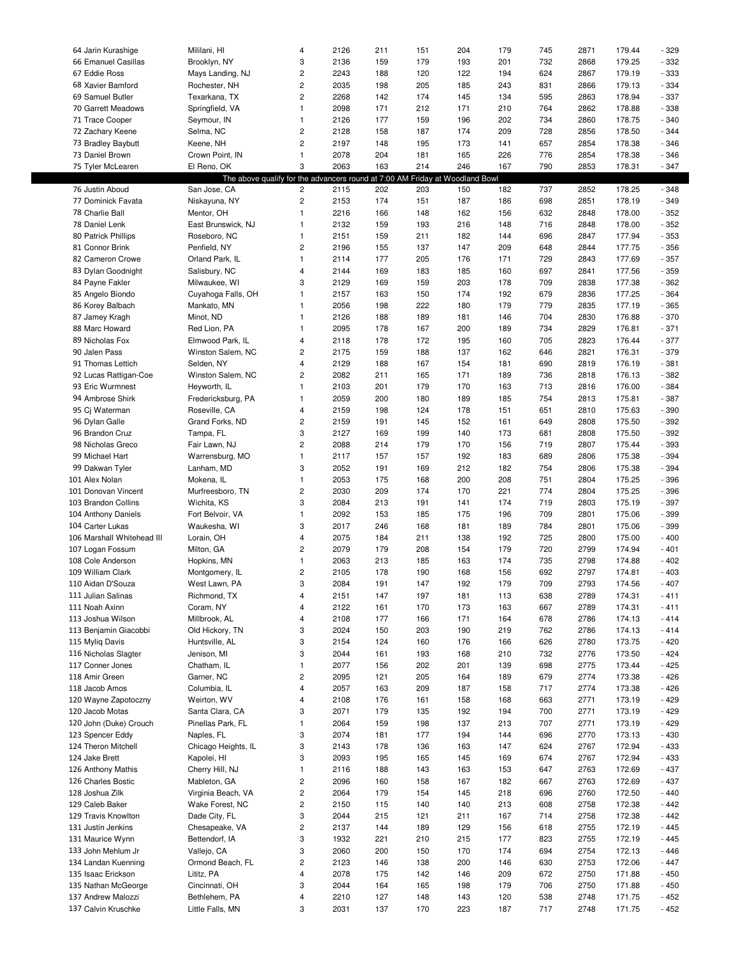| 64 Jarin Kurashige         | Mililani, HI                                                                 | 4                       | 2126 | 211 | 151 | 204 | 179 | 745 | 2871 | 179.44 | $-329$ |
|----------------------------|------------------------------------------------------------------------------|-------------------------|------|-----|-----|-----|-----|-----|------|--------|--------|
| 66 Emanuel Casillas        | Brooklyn, NY                                                                 | 3                       | 2136 | 159 | 179 | 193 | 201 | 732 | 2868 | 179.25 | $-332$ |
| 67 Eddie Ross              | Mays Landing, NJ                                                             | $\overline{\mathbf{c}}$ | 2243 | 188 | 120 | 122 | 194 | 624 | 2867 | 179.19 | $-333$ |
| 68 Xavier Bamford          | Rochester, NH                                                                | $\overline{c}$          | 2035 | 198 | 205 | 185 | 243 | 831 | 2866 | 179.13 | $-334$ |
|                            |                                                                              |                         |      |     |     |     |     |     |      |        |        |
| 69 Samuel Butler           | Texarkana, TX                                                                | $\overline{c}$          | 2268 | 142 | 174 | 145 | 134 | 595 | 2863 | 178.94 | $-337$ |
| 70 Garrett Meadows         | Springfield, VA                                                              | $\mathbf{1}$            | 2098 | 171 | 212 | 171 | 210 | 764 | 2862 | 178.88 | $-338$ |
| 71 Trace Cooper            | Seymour, IN                                                                  | $\mathbf{1}$            | 2126 | 177 | 159 | 196 | 202 | 734 | 2860 | 178.75 | $-340$ |
| 72 Zachary Keene           | Selma, NC                                                                    | $\overline{\mathbf{c}}$ | 2128 | 158 | 187 | 174 | 209 | 728 | 2856 | 178.50 | $-344$ |
| 73 Bradley Baybutt         | Keene, NH                                                                    | $\overline{c}$          | 2197 | 148 | 195 | 173 | 141 | 657 | 2854 | 178.38 | $-346$ |
| 73 Daniel Brown            | Crown Point, IN                                                              | $\mathbf{1}$            | 2078 | 204 | 181 | 165 | 226 | 776 | 2854 | 178.38 | $-346$ |
| 75 Tyler McLearen          | El Reno, OK                                                                  | 3                       | 2063 | 163 | 214 | 246 | 167 | 790 | 2853 | 178.31 | $-347$ |
|                            |                                                                              |                         |      |     |     |     |     |     |      |        |        |
|                            | The above qualify for the advancers round at 7:00 AM Friday at Woodland Bowl |                         |      |     |     |     |     |     |      |        |        |
| 76 Justin Aboud            | San Jose, CA                                                                 | 2                       | 2115 | 202 | 203 | 150 | 182 | 737 | 2852 | 178.25 | $-348$ |
| 77 Dominick Favata         | Niskayuna, NY                                                                | $\overline{c}$          | 2153 | 174 | 151 | 187 | 186 | 698 | 2851 | 178.19 | $-349$ |
| 78 Charlie Ball            | Mentor, OH                                                                   | $\mathbf{1}$            | 2216 | 166 | 148 | 162 | 156 | 632 | 2848 | 178.00 | $-352$ |
| 78 Daniel Lenk             | East Brunswick, NJ                                                           | $\mathbf{1}$            | 2132 | 159 | 193 | 216 | 148 | 716 | 2848 | 178.00 | $-352$ |
| 80 Patrick Phillips        | Roseboro, NC                                                                 | $\mathbf{1}$            | 2151 | 159 | 211 | 182 | 144 | 696 | 2847 | 177.94 | $-353$ |
| 81 Connor Brink            | Penfield, NY                                                                 | $\overline{\mathbf{c}}$ | 2196 | 155 | 137 | 147 | 209 | 648 | 2844 | 177.75 | $-356$ |
|                            |                                                                              |                         |      |     |     |     |     |     |      |        |        |
| 82 Cameron Crowe           | Orland Park, IL                                                              | $\mathbf{1}$            | 2114 | 177 | 205 | 176 | 171 | 729 | 2843 | 177.69 | $-357$ |
| 83 Dylan Goodnight         | Salisbury, NC                                                                | 4                       | 2144 | 169 | 183 | 185 | 160 | 697 | 2841 | 177.56 | $-359$ |
| 84 Payne Fakler            | Milwaukee, WI                                                                | 3                       | 2129 | 169 | 159 | 203 | 178 | 709 | 2838 | 177.38 | $-362$ |
| 85 Angelo Biondo           | Cuyahoga Falls, OH                                                           | $\mathbf{1}$            | 2157 | 163 | 150 | 174 | 192 | 679 | 2836 | 177.25 | $-364$ |
| 86 Korey Balbach           | Mankato, MN                                                                  | $\mathbf{1}$            | 2056 | 198 | 222 | 180 | 179 | 779 | 2835 | 177.19 | $-365$ |
| 87 Jamey Kragh             | Minot, ND                                                                    | $\mathbf{1}$            | 2126 | 188 | 189 | 181 | 146 | 704 | 2830 | 176.88 | $-370$ |
| 88 Marc Howard             | Red Lion, PA                                                                 | $\mathbf{1}$            | 2095 | 178 | 167 | 200 | 189 | 734 | 2829 | 176.81 | $-371$ |
| 89 Nicholas Fox            |                                                                              |                         |      |     |     |     |     |     |      |        |        |
|                            | Elmwood Park, IL                                                             | $\overline{4}$          | 2118 | 178 | 172 | 195 | 160 | 705 | 2823 | 176.44 | $-377$ |
| 90 Jalen Pass              | Winston Salem, NC                                                            | $\overline{c}$          | 2175 | 159 | 188 | 137 | 162 | 646 | 2821 | 176.31 | $-379$ |
| 91 Thomas Lettich          | Selden, NY                                                                   | $\overline{\mathbf{4}}$ | 2129 | 188 | 167 | 154 | 181 | 690 | 2819 | 176.19 | $-381$ |
| 92 Lucas Rattigan-Coe      | Winston Salem, NC                                                            | $\overline{c}$          | 2082 | 211 | 165 | 171 | 189 | 736 | 2818 | 176.13 | $-382$ |
| 93 Eric Wurmnest           | Heyworth, IL                                                                 | $\mathbf{1}$            | 2103 | 201 | 179 | 170 | 163 | 713 | 2816 | 176.00 | $-384$ |
| 94 Ambrose Shirk           | Fredericksburg, PA                                                           | $\mathbf{1}$            | 2059 | 200 | 180 | 189 | 185 | 754 | 2813 | 175.81 | $-387$ |
| 95 Cj Waterman             | Roseville, CA                                                                | 4                       | 2159 | 198 | 124 | 178 | 151 | 651 | 2810 | 175.63 | $-390$ |
|                            | Grand Forks, ND                                                              | $\overline{\mathbf{c}}$ |      |     |     | 152 | 161 | 649 | 2808 | 175.50 | $-392$ |
| 96 Dylan Galle             |                                                                              |                         | 2159 | 191 | 145 |     |     |     |      |        |        |
| 96 Brandon Cruz            | Tampa, FL                                                                    | 3                       | 2127 | 169 | 199 | 140 | 173 | 681 | 2808 | 175.50 | $-392$ |
| 98 Nicholas Greco          | Fair Lawn, NJ                                                                | $\overline{\mathbf{c}}$ | 2088 | 214 | 179 | 170 | 156 | 719 | 2807 | 175.44 | - 393  |
| 99 Michael Hart            | Warrensburg, MO                                                              | $\mathbf{1}$            | 2117 | 157 | 157 | 192 | 183 | 689 | 2806 | 175.38 | $-394$ |
| 99 Dakwan Tyler            | Lanham, MD                                                                   | 3                       | 2052 | 191 | 169 | 212 | 182 | 754 | 2806 | 175.38 | $-394$ |
| 101 Alex Nolan             | Mokena, IL                                                                   | $\mathbf{1}$            | 2053 | 175 | 168 | 200 | 208 | 751 | 2804 | 175.25 | $-396$ |
| 101 Donovan Vincent        | Murfreesboro, TN                                                             | $\overline{\mathbf{c}}$ | 2030 | 209 | 174 | 170 | 221 | 774 | 2804 | 175.25 | $-396$ |
| 103 Brandon Collins        | Wichita, KS                                                                  | 3                       | 2084 | 213 | 191 | 141 | 174 | 719 | 2803 | 175.19 | $-397$ |
|                            |                                                                              |                         |      |     |     |     |     |     |      |        |        |
| 104 Anthony Daniels        | Fort Belvoir, VA                                                             | $\mathbf{1}$            | 2092 | 153 | 185 | 175 | 196 | 709 | 2801 | 175.06 | - 399  |
| 104 Carter Lukas           | Waukesha, WI                                                                 | 3                       | 2017 | 246 | 168 | 181 | 189 | 784 | 2801 | 175.06 | - 399  |
| 106 Marshall Whitehead III | Lorain, OH                                                                   | 4                       | 2075 | 184 | 211 | 138 | 192 | 725 | 2800 | 175.00 | $-400$ |
| 107 Logan Fossum           | Milton, GA                                                                   | $\overline{c}$          | 2079 | 179 | 208 | 154 | 179 | 720 | 2799 | 174.94 | $-401$ |
| 108 Cole Anderson          | Hopkins, MN                                                                  | $\mathbf{1}$            | 2063 | 213 | 185 | 163 | 174 | 735 | 2798 | 174.88 | $-402$ |
| 109 William Clark          | Montgomery, IL                                                               | $\overline{c}$          | 2105 | 178 | 190 | 168 | 156 | 692 | 2797 | 174.81 | $-403$ |
| 110 Aidan D'Souza          | West Lawn, PA                                                                | 3                       | 2084 | 191 | 147 | 192 | 179 | 709 | 2793 | 174.56 | $-407$ |
|                            |                                                                              |                         |      |     |     |     |     |     |      |        |        |
| 111 Julian Salinas         | Richmond, TX                                                                 | 4                       | 2151 | 147 | 197 | 181 | 113 | 638 | 2789 | 174.31 | $-411$ |
| 111 Noah Axinn             | Coram, NY                                                                    | 4                       | 2122 | 161 | 170 | 173 | 163 | 667 | 2789 | 174.31 | $-411$ |
| 113 Joshua Wilson          | Millbrook, AL                                                                | 4                       | 2108 | 177 | 166 | 171 | 164 | 678 | 2786 | 174.13 | $-414$ |
| 113 Benjamin Giacobbi      | Old Hickory, TN                                                              | 3                       | 2024 | 150 | 203 | 190 | 219 | 762 | 2786 | 174.13 | $-414$ |
| 115 Myliq Davis            | Huntsville, AL                                                               | 3                       | 2154 | 124 | 160 | 176 | 166 | 626 | 2780 | 173.75 | $-420$ |
| 116 Nicholas Slagter       | Jenison, MI                                                                  | 3                       | 2044 | 161 | 193 | 168 | 210 | 732 | 2776 | 173.50 | $-424$ |
| 117 Conner Jones           | Chatham, IL                                                                  | $\mathbf{1}$            | 2077 | 156 | 202 | 201 | 139 | 698 | 2775 | 173.44 | $-425$ |
| 118 Amir Green             | Garner, NC                                                                   | $\overline{\mathbf{c}}$ | 2095 | 121 | 205 | 164 | 189 | 679 | 2774 | 173.38 |        |
|                            |                                                                              |                         |      |     |     |     |     |     |      |        | - 426  |
| 118 Jacob Amos             | Columbia, IL                                                                 | 4                       | 2057 | 163 | 209 | 187 | 158 | 717 | 2774 | 173.38 | $-426$ |
| 120 Wayne Zapotoczny       | Weirton, WV                                                                  | 4                       | 2108 | 176 | 161 | 158 | 168 | 663 | 2771 | 173.19 | $-429$ |
| 120 Jacob Motas            | Santa Clara, CA                                                              | 3                       | 2071 | 179 | 135 | 192 | 194 | 700 | 2771 | 173.19 | $-429$ |
| 120 John (Duke) Crouch     | Pinellas Park, FL                                                            | $\mathbf{1}$            | 2064 | 159 | 198 | 137 | 213 | 707 | 2771 | 173.19 | $-429$ |
| 123 Spencer Eddy           | Naples, FL                                                                   | 3                       | 2074 | 181 | 177 | 194 | 144 | 696 | 2770 | 173.13 | $-430$ |
| 124 Theron Mitchell        | Chicago Heights, IL                                                          | 3                       | 2143 | 178 | 136 | 163 | 147 | 624 | 2767 | 172.94 | $-433$ |
| 124 Jake Brett             | Kapolei, HI                                                                  | 3                       | 2093 | 195 | 165 | 145 | 169 | 674 | 2767 | 172.94 | $-433$ |
|                            |                                                                              |                         |      |     |     |     |     |     |      |        |        |
| 126 Anthony Mathis         | Cherry Hill, NJ                                                              | $\mathbf{1}$            | 2116 | 188 | 143 | 163 | 153 | 647 | 2763 | 172.69 | $-437$ |
| 126 Charles Bostic         | Mableton, GA                                                                 | $\sqrt{2}$              | 2096 | 160 | 158 | 167 | 182 | 667 | 2763 | 172.69 | $-437$ |
| 128 Joshua Zilk            | Virginia Beach, VA                                                           | $\overline{\mathbf{c}}$ | 2064 | 179 | 154 | 145 | 218 | 696 | 2760 | 172.50 | $-440$ |
| 129 Caleb Baker            | Wake Forest, NC                                                              | $\overline{\mathbf{c}}$ | 2150 | 115 | 140 | 140 | 213 | 608 | 2758 | 172.38 | $-442$ |
| 129 Travis Knowlton        | Dade City, FL                                                                | 3                       | 2044 | 215 | 121 | 211 | 167 | 714 | 2758 | 172.38 | $-442$ |
| 131 Justin Jenkins         | Chesapeake, VA                                                               | $\mathbf 2$             | 2137 | 144 | 189 | 129 | 156 | 618 | 2755 | 172.19 | $-445$ |
| 131 Maurice Wynn           | Bettendorf, IA                                                               | 3                       | 1932 | 221 | 210 | 215 | 177 | 823 | 2755 | 172.19 | $-445$ |
|                            |                                                                              |                         |      |     |     |     |     |     |      |        |        |
| 133 John Mehlum Jr         | Vallejo, CA                                                                  | 3                       | 2060 | 200 | 150 | 170 | 174 | 694 | 2754 | 172.13 | - 446  |
| 134 Landan Kuenning        | Ormond Beach, FL                                                             | $\overline{c}$          | 2123 | 146 | 138 | 200 | 146 | 630 | 2753 | 172.06 | $-447$ |
| 135 Isaac Erickson         | Lititz, PA                                                                   | 4                       | 2078 | 175 | 142 | 146 | 209 | 672 | 2750 | 171.88 | $-450$ |
| 135 Nathan McGeorge        | Cincinnati, OH                                                               | 3                       | 2044 | 164 | 165 | 198 | 179 | 706 | 2750 | 171.88 | $-450$ |
| 137 Andrew Malozzi         | Bethlehem, PA                                                                | 4                       | 2210 | 127 | 148 | 143 | 120 | 538 | 2748 | 171.75 | $-452$ |
| 137 Calvin Kruschke        | Little Falls, MN                                                             | 3                       | 2031 | 137 | 170 | 223 | 187 | 717 | 2748 | 171.75 | $-452$ |
|                            |                                                                              |                         |      |     |     |     |     |     |      |        |        |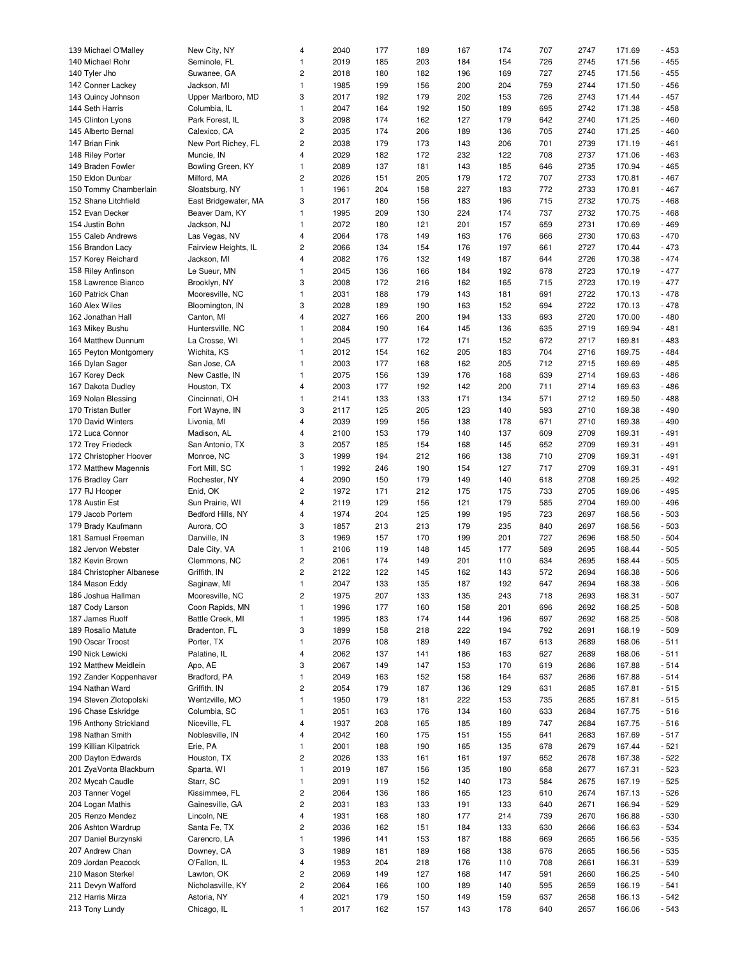| 139 Michael O'Malley     | New City, NY         | 4                       | 2040 | 177 | 189 | 167 | 174 | 707 | 2747 | 171.69 | $-453$ |
|--------------------------|----------------------|-------------------------|------|-----|-----|-----|-----|-----|------|--------|--------|
| 140 Michael Rohr         | Seminole, FL         | $\mathbf{1}$            | 2019 | 185 | 203 | 184 | 154 | 726 | 2745 | 171.56 | $-455$ |
| 140 Tyler Jho            | Suwanee, GA          | 2                       | 2018 | 180 | 182 | 196 | 169 | 727 | 2745 | 171.56 | $-455$ |
| 142 Conner Lackey        | Jackson, MI          | $\mathbf{1}$            | 1985 | 199 | 156 | 200 | 204 | 759 | 2744 | 171.50 | $-456$ |
|                          |                      |                         |      |     |     |     |     |     |      |        |        |
| 143 Quincy Johnson       | Upper Marlboro, MD   | 3                       | 2017 | 192 | 179 | 202 | 153 | 726 | 2743 | 171.44 | $-457$ |
| 144 Seth Harris          | Columbia, IL         | $\mathbf{1}$            | 2047 | 164 | 192 | 150 | 189 | 695 | 2742 | 171.38 | $-458$ |
| 145 Clinton Lyons        | Park Forest, IL      | 3                       | 2098 | 174 | 162 | 127 | 179 | 642 | 2740 | 171.25 | $-460$ |
| 145 Alberto Bernal       | Calexico, CA         | 2                       | 2035 | 174 | 206 | 189 | 136 | 705 | 2740 | 171.25 | $-460$ |
|                          |                      |                         |      |     |     |     |     |     |      |        |        |
| 147 Brian Fink           | New Port Richey, FL  | 2                       | 2038 | 179 | 173 | 143 | 206 | 701 | 2739 | 171.19 | $-461$ |
| 148 Riley Porter         | Muncie, IN           | 4                       | 2029 | 182 | 172 | 232 | 122 | 708 | 2737 | 171.06 | $-463$ |
| 149 Braden Fowler        | Bowling Green, KY    | $\mathbf{1}$            | 2089 | 137 | 181 | 143 | 185 | 646 | 2735 | 170.94 | $-465$ |
| 150 Eldon Dunbar         | Milford, MA          | 2                       | 2026 | 151 | 205 | 179 | 172 | 707 | 2733 | 170.81 | $-467$ |
|                          |                      |                         |      |     |     |     |     |     |      |        |        |
| 150 Tommy Chamberlain    | Sloatsburg, NY       | $\mathbf{1}$            | 1961 | 204 | 158 | 227 | 183 | 772 | 2733 | 170.81 | $-467$ |
| 152 Shane Litchfield     | East Bridgewater, MA | 3                       | 2017 | 180 | 156 | 183 | 196 | 715 | 2732 | 170.75 | $-468$ |
| 152 Evan Decker          | Beaver Dam, KY       | 1                       | 1995 | 209 | 130 | 224 | 174 | 737 | 2732 | 170.75 | $-468$ |
| 154 Justin Bohn          | Jackson, NJ          | $\mathbf{1}$            | 2072 | 180 | 121 | 201 | 157 | 659 | 2731 | 170.69 | $-469$ |
|                          |                      |                         |      |     |     |     |     |     |      |        |        |
| 155 Caleb Andrews        | Las Vegas, NV        | 4                       | 2064 | 178 | 149 | 163 | 176 | 666 | 2730 | 170.63 | $-470$ |
| 156 Brandon Lacy         | Fairview Heights, IL | 2                       | 2066 | 134 | 154 | 176 | 197 | 661 | 2727 | 170.44 | $-473$ |
| 157 Korey Reichard       | Jackson, MI          | 4                       | 2082 | 176 | 132 | 149 | 187 | 644 | 2726 | 170.38 | $-474$ |
| 158 Riley Anfinson       | Le Sueur, MN         | 1                       | 2045 | 136 | 166 | 184 | 192 | 678 | 2723 | 170.19 | $-477$ |
|                          |                      |                         |      |     |     |     |     |     |      |        |        |
| 158 Lawrence Bianco      | Brooklyn, NY         | 3                       | 2008 | 172 | 216 | 162 | 165 | 715 | 2723 | 170.19 | $-477$ |
| 160 Patrick Chan         | Mooresville, NC      | 1                       | 2031 | 188 | 179 | 143 | 181 | 691 | 2722 | 170.13 | $-478$ |
| 160 Alex Wiles           | Bloomington, IN      | 3                       | 2028 | 189 | 190 | 163 | 152 | 694 | 2722 | 170.13 | $-478$ |
| 162 Jonathan Hall        | Canton, MI           | 4                       | 2027 | 166 | 200 | 194 | 133 | 693 | 2720 | 170.00 | $-480$ |
|                          |                      |                         |      |     |     |     |     |     |      |        |        |
| 163 Mikey Bushu          | Huntersville, NC     | 1                       | 2084 | 190 | 164 | 145 | 136 | 635 | 2719 | 169.94 | $-481$ |
| 164 Matthew Dunnum       | La Crosse, WI        | $\mathbf{1}$            | 2045 | 177 | 172 | 171 | 152 | 672 | 2717 | 169.81 | $-483$ |
| 165 Peyton Montgomery    | Wichita, KS          | $\mathbf{1}$            | 2012 | 154 | 162 | 205 | 183 | 704 | 2716 | 169.75 | $-484$ |
| 166 Dylan Sager          | San Jose, CA         | 1                       | 2003 | 177 | 168 | 162 | 205 | 712 | 2715 | 169.69 | $-485$ |
|                          |                      |                         |      |     |     |     |     |     |      |        |        |
| 167 Korey Deck           | New Castle, IN       | $\mathbf{1}$            | 2075 | 156 | 139 | 176 | 168 | 639 | 2714 | 169.63 | $-486$ |
| 167 Dakota Dudley        | Houston, TX          | 4                       | 2003 | 177 | 192 | 142 | 200 | 711 | 2714 | 169.63 | $-486$ |
| 169 Nolan Blessing       | Cincinnati, OH       | $\mathbf{1}$            | 2141 | 133 | 133 | 171 | 134 | 571 | 2712 | 169.50 | $-488$ |
| 170 Tristan Butler       | Fort Wayne, IN       | 3                       | 2117 | 125 | 205 | 123 | 140 | 593 | 2710 | 169.38 | $-490$ |
| 170 David Winters        | Livonia, MI          | 4                       | 2039 | 199 | 156 | 138 | 178 | 671 | 2710 | 169.38 | $-490$ |
| 172 Luca Connor          | Madison, AL          | 4                       | 2100 | 153 | 179 | 140 | 137 | 609 | 2709 | 169.31 | $-491$ |
|                          |                      |                         |      |     |     |     |     |     |      |        |        |
| 172 Trey Friedeck        | San Antonio, TX      | 3                       | 2057 | 185 | 154 | 168 | 145 | 652 | 2709 | 169.31 | $-491$ |
| 172 Christopher Hoover   | Monroe, NC           | 3                       | 1999 | 194 | 212 | 166 | 138 | 710 | 2709 | 169.31 | $-491$ |
| 172 Matthew Magennis     | Fort Mill, SC        | 1                       | 1992 | 246 | 190 | 154 | 127 | 717 | 2709 | 169.31 | $-491$ |
| 176 Bradley Carr         | Rochester, NY        | 4                       | 2090 | 150 | 179 | 149 | 140 | 618 | 2708 | 169.25 | $-492$ |
| 177 RJ Hooper            | Enid, OK             | $\overline{c}$          | 1972 | 171 | 212 | 175 | 175 | 733 | 2705 | 169.06 | $-495$ |
|                          |                      |                         |      |     |     |     |     |     |      |        |        |
| 178 Austin Est           | Sun Prairie, WI      | 4                       | 2119 | 129 | 156 | 121 | 179 | 585 | 2704 | 169.00 | $-496$ |
| 179 Jacob Portem         | Bedford Hills, NY    | 4                       | 1974 | 204 | 125 | 199 | 195 | 723 | 2697 | 168.56 | $-503$ |
| 179 Brady Kaufmann       | Aurora, CO           | 3                       | 1857 | 213 | 213 | 179 | 235 | 840 | 2697 | 168.56 | $-503$ |
| 181 Samuel Freeman       | Danville, IN         | 3                       | 1969 | 157 | 170 | 199 | 201 | 727 | 2696 | 168.50 | $-504$ |
| 182 Jervon Webster       | Dale City, VA        | $\mathbf{1}$            | 2106 | 119 | 148 | 145 | 177 | 589 | 2695 | 168.44 | $-505$ |
|                          |                      |                         |      |     |     |     |     |     |      |        |        |
| 182 Kevin Brown          | Clemmons, NC         | 2                       | 2061 | 174 | 149 | 201 | 110 | 634 | 2695 | 168.44 | $-505$ |
| 184 Christopher Albanese | Griffith, IN         | $\overline{c}$          | 2122 | 122 | 145 | 162 | 143 | 572 | 2694 | 168.38 | $-506$ |
| 184 Mason Eddy           | Saginaw, MI          | $\mathbf{1}$            | 2047 | 133 | 135 | 187 | 192 | 647 | 2694 | 168.38 | $-506$ |
| 186 Joshua Hallman       | Mooresville, NC      | $\mathbf 2$             | 1975 | 207 | 133 | 135 | 243 | 718 | 2693 | 168.31 | $-507$ |
| 187 Cody Larson          | Coon Rapids, MN      | $\mathbf{1}$            | 1996 | 177 | 160 | 158 | 201 | 696 | 2692 | 168.25 | $-508$ |
|                          |                      |                         |      |     |     |     |     |     |      |        |        |
| 187 James Ruoff          | Battle Creek, MI     | $\mathbf{1}$            | 1995 | 183 | 174 | 144 | 196 | 697 | 2692 | 168.25 | $-508$ |
| 189 Rosalio Matute       | Bradenton, FL        | 3                       | 1899 | 158 | 218 | 222 | 194 | 792 | 2691 | 168.19 | $-509$ |
| 190 Oscar Troost         | Porter, TX           | 1                       | 2076 | 108 | 189 | 149 | 167 | 613 | 2689 | 168.06 | $-511$ |
| 190 Nick Lewicki         | Palatine, IL         | 4                       | 2062 | 137 | 141 | 186 | 163 | 627 | 2689 | 168.06 | $-511$ |
| 192 Matthew Meidlein     | Apo, AE              | 3                       |      | 149 |     | 153 |     | 619 |      | 167.88 | $-514$ |
|                          |                      |                         | 2067 |     | 147 |     | 170 |     | 2686 |        |        |
| 192 Zander Koppenhaver   | Bradford, PA         | $\mathbf{1}$            | 2049 | 163 | 152 | 158 | 164 | 637 | 2686 | 167.88 | $-514$ |
| 194 Nathan Ward          | Griffith, IN         | 2                       | 2054 | 179 | 187 | 136 | 129 | 631 | 2685 | 167.81 | $-515$ |
| 194 Steven Zlotopolski   | Wentzville, MO       | $\mathbf{1}$            | 1950 | 179 | 181 | 222 | 153 | 735 | 2685 | 167.81 | $-515$ |
| 196 Chase Eskridge       | Columbia, SC         | 1                       | 2051 | 163 | 176 | 134 | 160 | 633 | 2684 | 167.75 | $-516$ |
| 196 Anthony Strickland   | Niceville, FL        | 4                       |      |     |     |     |     |     |      |        |        |
|                          |                      |                         | 1937 | 208 | 165 | 185 | 189 | 747 | 2684 | 167.75 | $-516$ |
| 198 Nathan Smith         | Noblesville, IN      | 4                       | 2042 | 160 | 175 | 151 | 155 | 641 | 2683 | 167.69 | $-517$ |
| 199 Killian Kilpatrick   | Erie, PA             | $\mathbf{1}$            | 2001 | 188 | 190 | 165 | 135 | 678 | 2679 | 167.44 | $-521$ |
| 200 Dayton Edwards       | Houston, TX          | 2                       | 2026 | 133 | 161 | 161 | 197 | 652 | 2678 | 167.38 | $-522$ |
| 201 ZyaVonta Blackburn   | Sparta, WI           | $\mathbf{1}$            | 2019 | 187 | 156 | 135 | 180 | 658 | 2677 | 167.31 | $-523$ |
| 202 Mycah Caudle         | Starr, SC            | $\mathbf{1}$            | 2091 | 119 | 152 | 140 | 173 | 584 | 2675 | 167.19 | $-525$ |
|                          |                      |                         |      |     |     |     |     |     |      |        |        |
| 203 Tanner Vogel         | Kissimmee, FL        | 2                       | 2064 | 136 | 186 | 165 | 123 | 610 | 2674 | 167.13 | $-526$ |
| 204 Logan Mathis         | Gainesville, GA      | $\overline{c}$          | 2031 | 183 | 133 | 191 | 133 | 640 | 2671 | 166.94 | $-529$ |
| 205 Renzo Mendez         | Lincoln, NE          | 4                       | 1931 | 168 | 180 | 177 | 214 | 739 | 2670 | 166.88 | $-530$ |
| 206 Ashton Wardrup       | Santa Fe, TX         | 2                       | 2036 | 162 | 151 | 184 | 133 | 630 | 2666 | 166.63 | $-534$ |
| 207 Daniel Burzynski     | Carencro, LA         | $\mathbf{1}$            | 1996 | 141 | 153 | 187 | 188 | 669 | 2665 | 166.56 | $-535$ |
| 207 Andrew Chan          | Downey, CA           | 3                       | 1989 | 181 | 189 | 168 | 138 | 676 | 2665 | 166.56 | $-535$ |
|                          |                      |                         |      |     |     |     |     |     |      |        |        |
| 209 Jordan Peacock       | O'Fallon, IL         | 4                       | 1953 | 204 | 218 | 176 | 110 | 708 | 2661 | 166.31 | $-539$ |
| 210 Mason Sterkel        | Lawton, OK           | 2                       | 2069 | 149 | 127 | 168 | 147 | 591 | 2660 | 166.25 | $-540$ |
| 211 Devyn Wafford        | Nicholasville, KY    | $\overline{\mathbf{c}}$ | 2064 | 166 | 100 | 189 | 140 | 595 | 2659 | 166.19 | $-541$ |
| 212 Harris Mirza         | Astoria, NY          | 4                       | 2021 | 179 | 150 | 149 | 159 | 637 | 2658 | 166.13 | $-542$ |
| 213 Tony Lundy           | Chicago, IL          | 1                       | 2017 | 162 | 157 | 143 | 178 | 640 | 2657 | 166.06 | $-543$ |
|                          |                      |                         |      |     |     |     |     |     |      |        |        |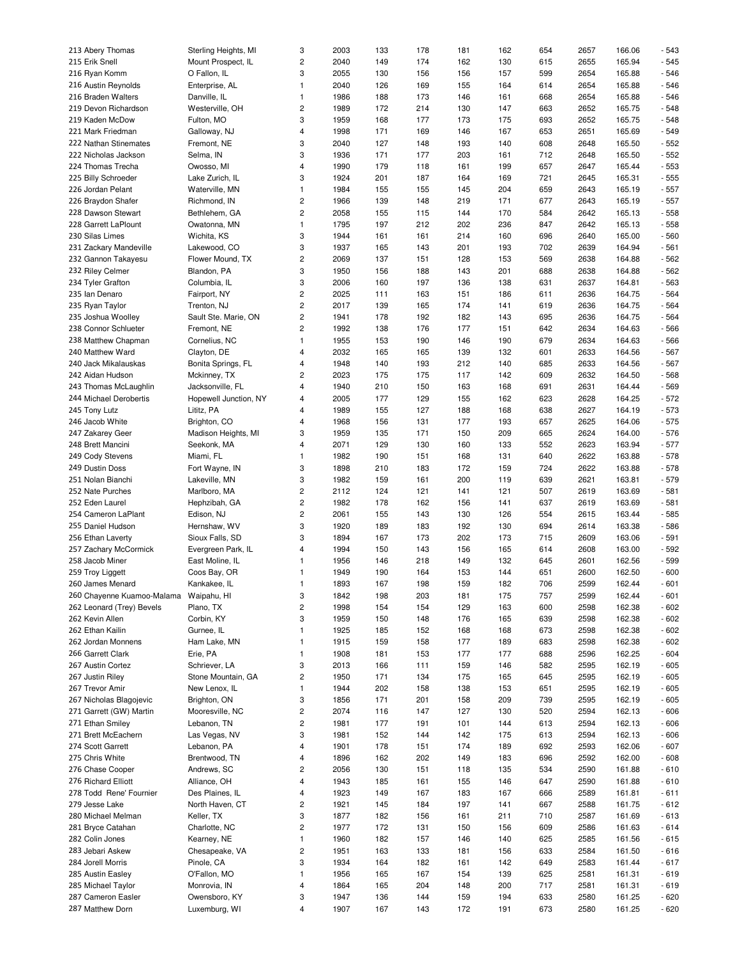| 213 Abery Thomas                       | Sterling Heights, MI  | 3                       | 2003 | 133 | 178 | 181 | 162 | 654 | 2657 | 166.06 | $-543$ |
|----------------------------------------|-----------------------|-------------------------|------|-----|-----|-----|-----|-----|------|--------|--------|
| 215 Erik Snell                         | Mount Prospect, IL    | 2                       | 2040 | 149 | 174 | 162 | 130 | 615 | 2655 | 165.94 | $-545$ |
| 216 Ryan Komm                          | O Fallon, IL          | 3                       | 2055 | 130 | 156 | 156 | 157 | 599 | 2654 | 165.88 | $-546$ |
| 216 Austin Reynolds                    | Enterprise, AL        | $\mathbf{1}$            | 2040 | 126 | 169 | 155 | 164 | 614 | 2654 | 165.88 | $-546$ |
| 216 Braden Walters                     | Danville, IL          | $\mathbf{1}$            | 1986 | 188 | 173 | 146 | 161 | 668 | 2654 | 165.88 | $-546$ |
| 219 Devon Richardson                   | Westerville, OH       | 2                       | 1989 | 172 | 214 | 130 | 147 | 663 | 2652 | 165.75 | $-548$ |
|                                        |                       |                         |      |     |     |     |     |     |      |        |        |
| 219 Kaden McDow                        | Fulton, MO            | 3                       | 1959 | 168 | 177 | 173 | 175 | 693 | 2652 | 165.75 | $-548$ |
| 221 Mark Friedman                      | Galloway, NJ          | 4                       | 1998 | 171 | 169 | 146 | 167 | 653 | 2651 | 165.69 | $-549$ |
| 222 Nathan Stinemates                  | Fremont, NE           | 3                       | 2040 | 127 | 148 | 193 | 140 | 608 | 2648 | 165.50 | $-552$ |
| 222 Nicholas Jackson                   | Selma, IN             | 3                       | 1936 | 171 | 177 | 203 | 161 | 712 | 2648 | 165.50 | $-552$ |
| 224 Thomas Trecha                      | Owosso, MI            | 4                       | 1990 | 179 | 118 | 161 | 199 | 657 | 2647 | 165.44 | $-553$ |
| 225 Billy Schroeder                    | Lake Zurich, IL       | 3                       | 1924 | 201 | 187 | 164 | 169 | 721 | 2645 | 165.31 | $-555$ |
| 226 Jordan Pelant                      | Waterville, MN        | $\mathbf{1}$            | 1984 | 155 | 155 | 145 | 204 | 659 | 2643 | 165.19 | $-557$ |
|                                        |                       |                         |      |     |     |     |     |     |      |        |        |
| 226 Braydon Shafer                     | Richmond, IN          | $\overline{\mathbf{c}}$ | 1966 | 139 | 148 | 219 | 171 | 677 | 2643 | 165.19 | $-557$ |
| 228 Dawson Stewart                     | Bethlehem, GA         | 2                       | 2058 | 155 | 115 | 144 | 170 | 584 | 2642 | 165.13 | $-558$ |
| 228 Garrett LaPlount                   | Owatonna, MN          | $\mathbf{1}$            | 1795 | 197 | 212 | 202 | 236 | 847 | 2642 | 165.13 | $-558$ |
| 230 Silas Limes                        | Wichita, KS           | 3                       | 1944 | 161 | 161 | 214 | 160 | 696 | 2640 | 165.00 | $-560$ |
| 231 Zackary Mandeville                 | Lakewood, CO          | 3                       | 1937 | 165 | 143 | 201 | 193 | 702 | 2639 | 164.94 | $-561$ |
| 232 Gannon Takayesu                    | Flower Mound, TX      | $\overline{\mathbf{c}}$ | 2069 | 137 | 151 | 128 | 153 | 569 | 2638 | 164.88 | $-562$ |
| 232 Riley Celmer                       | Blandon, PA           | 3                       | 1950 | 156 | 188 | 143 | 201 | 688 | 2638 | 164.88 | $-562$ |
|                                        |                       | 3                       |      |     |     | 136 |     | 631 |      |        |        |
| 234 Tyler Grafton                      | Columbia, IL          |                         | 2006 | 160 | 197 |     | 138 |     | 2637 | 164.81 | $-563$ |
| 235 Ian Denaro                         | Fairport, NY          | 2                       | 2025 | 111 | 163 | 151 | 186 | 611 | 2636 | 164.75 | $-564$ |
| 235 Ryan Taylor                        | Trenton, NJ           | 2                       | 2017 | 139 | 165 | 174 | 141 | 619 | 2636 | 164.75 | $-564$ |
| 235 Joshua Woolley                     | Sault Ste. Marie, ON  | $\overline{\mathbf{c}}$ | 1941 | 178 | 192 | 182 | 143 | 695 | 2636 | 164.75 | $-564$ |
| 238 Connor Schlueter                   | Fremont, NE           | 2                       | 1992 | 138 | 176 | 177 | 151 | 642 | 2634 | 164.63 | $-566$ |
| 238 Matthew Chapman                    | Cornelius, NC         | $\mathbf{1}$            | 1955 | 153 | 190 | 146 | 190 | 679 | 2634 | 164.63 | $-566$ |
| 240 Matthew Ward                       | Clayton, DE           | 4                       | 2032 | 165 | 165 | 139 | 132 | 601 | 2633 | 164.56 | $-567$ |
|                                        |                       | 4                       | 1948 |     | 193 | 212 | 140 | 685 | 2633 | 164.56 | $-567$ |
| 240 Jack Mikalauskas                   | Bonita Springs, FL    |                         |      | 140 |     |     |     |     |      |        |        |
| 242 Aidan Hudson                       | Mckinney, TX          | 2                       | 2023 | 175 | 175 | 117 | 142 | 609 | 2632 | 164.50 | $-568$ |
| 243 Thomas McLaughlin                  | Jacksonville, FL      | 4                       | 1940 | 210 | 150 | 163 | 168 | 691 | 2631 | 164.44 | $-569$ |
| 244 Michael Derobertis                 | Hopewell Junction, NY | 4                       | 2005 | 177 | 129 | 155 | 162 | 623 | 2628 | 164.25 | $-572$ |
| 245 Tony Lutz                          | Lititz, PA            | 4                       | 1989 | 155 | 127 | 188 | 168 | 638 | 2627 | 164.19 | $-573$ |
| 246 Jacob White                        | Brighton, CO          | 4                       | 1968 | 156 | 131 | 177 | 193 | 657 | 2625 | 164.06 | $-575$ |
| 247 Zakarey Geer                       | Madison Heights, MI   | 3                       | 1959 | 135 | 171 | 150 | 209 | 665 | 2624 | 164.00 | $-576$ |
| 248 Brett Mancini                      | Seekonk, MA           | 4                       | 2071 | 129 | 130 | 160 | 133 | 552 | 2623 | 163.94 | $-577$ |
|                                        |                       |                         |      |     |     |     |     |     |      |        |        |
| 249 Cody Stevens                       | Miami, FL             | $\mathbf{1}$            | 1982 | 190 | 151 | 168 | 131 | 640 | 2622 | 163.88 | $-578$ |
| 249 Dustin Doss                        | Fort Wayne, IN        | 3                       | 1898 | 210 | 183 | 172 | 159 | 724 | 2622 | 163.88 | $-578$ |
| 251 Nolan Bianchi                      | Lakeville, MN         | 3                       | 1982 | 159 | 161 | 200 | 119 | 639 | 2621 | 163.81 | $-579$ |
| 252 Nate Purches                       | Marlboro, MA          | 2                       | 2112 | 124 | 121 | 141 | 121 | 507 | 2619 | 163.69 | $-581$ |
| 252 Eden Laurel                        | Hephzibah, GA         | 2                       | 1982 | 178 | 162 | 156 | 141 | 637 | 2619 | 163.69 | $-581$ |
| 254 Cameron LaPlant                    | Edison, NJ            | $\overline{c}$          | 2061 | 155 | 143 | 130 | 126 | 554 | 2615 | 163.44 | $-585$ |
| 255 Daniel Hudson                      | Hernshaw, WV          | 3                       | 1920 | 189 | 183 | 192 | 130 | 694 | 2614 | 163.38 | $-586$ |
|                                        | Sioux Falls, SD       | 3                       | 1894 |     | 173 | 202 | 173 | 715 |      | 163.06 | $-591$ |
| 256 Ethan Laverty                      |                       |                         |      | 167 |     |     |     |     | 2609 |        |        |
| 257 Zachary McCormick                  | Evergreen Park, IL    | 4                       | 1994 | 150 | 143 | 156 | 165 | 614 | 2608 | 163.00 | $-592$ |
| 258 Jacob Miner                        | East Moline, IL       | 1                       | 1956 | 146 | 218 | 149 | 132 | 645 | 2601 | 162.56 | - 599  |
| 259 Troy Liggett                       | Coos Bay, OR          | 1                       | 1949 | 190 | 164 | 153 | 144 | 651 | 2600 | 162.50 | $-600$ |
| 260 James Menard                       | Kankakee, IL          | 1                       | 1893 | 167 | 198 | 159 | 182 | 706 | 2599 | 162.44 | $-601$ |
| 260 Chayenne Kuamoo-Malama Waipahu, HI |                       | 3                       | 1842 | 198 | 203 | 181 | 175 | 757 | 2599 | 162.44 | $-601$ |
| 262 Leonard (Trey) Bevels              | Plano, TX             | 2                       | 1998 | 154 | 154 | 129 | 163 | 600 | 2598 | 162.38 | $-602$ |
| 262 Kevin Allen                        | Corbin, KY            | 3                       | 1959 | 150 | 148 | 176 | 165 | 639 | 2598 | 162.38 | $-602$ |
|                                        |                       |                         |      |     |     |     |     |     |      |        |        |
| 262 Ethan Kailin                       | Gurnee, IL            | $\mathbf{1}$            | 1925 | 185 | 152 | 168 | 168 | 673 | 2598 | 162.38 | $-602$ |
| 262 Jordan Monnens                     | Ham Lake, MN          | 1                       | 1915 | 159 | 158 | 177 | 189 | 683 | 2598 | 162.38 | $-602$ |
| 266 Garrett Clark                      | Erie, PA              | 1                       | 1908 | 181 | 153 | 177 | 177 | 688 | 2596 | 162.25 | $-604$ |
| 267 Austin Cortez                      | Schriever, LA         | 3                       | 2013 | 166 | 111 | 159 | 146 | 582 | 2595 | 162.19 | $-605$ |
| 267 Justin Riley                       | Stone Mountain, GA    | 2                       | 1950 | 171 | 134 | 175 | 165 | 645 | 2595 | 162.19 | $-605$ |
| 267 Trevor Amir                        | New Lenox, IL         | $\mathbf{1}$            | 1944 | 202 | 158 | 138 | 153 | 651 | 2595 | 162.19 | $-605$ |
| 267 Nicholas Blagojevic                | Brighton, ON          | 3                       | 1856 | 171 | 201 | 158 | 209 | 739 | 2595 | 162.19 | $-605$ |
|                                        |                       |                         |      |     |     |     |     |     |      |        |        |
| 271 Garrett (GW) Martin                | Mooresville, NC       | 2                       | 2074 | 116 | 147 | 127 | 130 | 520 | 2594 | 162.13 | $-606$ |
| 271 Ethan Smiley                       | Lebanon, TN           | $\overline{\mathbf{c}}$ | 1981 | 177 | 191 | 101 | 144 | 613 | 2594 | 162.13 | $-606$ |
| 271 Brett McEachern                    | Las Vegas, NV         | 3                       | 1981 | 152 | 144 | 142 | 175 | 613 | 2594 | 162.13 | $-606$ |
| 274 Scott Garrett                      | Lebanon, PA           | 4                       | 1901 | 178 | 151 | 174 | 189 | 692 | 2593 | 162.06 | $-607$ |
| 275 Chris White                        | Brentwood, TN         | 4                       | 1896 | 162 | 202 | 149 | 183 | 696 | 2592 | 162.00 | $-608$ |
| 276 Chase Cooper                       | Andrews, SC           | 2                       | 2056 | 130 | 151 | 118 | 135 | 534 | 2590 | 161.88 | $-610$ |
| 276 Richard Elliott                    | Alliance, OH          | 4                       | 1943 | 185 | 161 | 155 | 146 | 647 | 2590 | 161.88 | $-610$ |
|                                        |                       |                         |      |     |     |     |     |     |      |        |        |
| 278 Todd Rene' Fournier                | Des Plaines, IL       | 4                       | 1923 | 149 | 167 | 183 | 167 | 666 | 2589 | 161.81 | $-611$ |
| 279 Jesse Lake                         | North Haven, CT       | 2                       | 1921 | 145 | 184 | 197 | 141 | 667 | 2588 | 161.75 | $-612$ |
| 280 Michael Melman                     | Keller, TX            | 3                       | 1877 | 182 | 156 | 161 | 211 | 710 | 2587 | 161.69 | $-613$ |
| 281 Bryce Catahan                      | Charlotte, NC         | 2                       | 1977 | 172 | 131 | 150 | 156 | 609 | 2586 | 161.63 | $-614$ |
| 282 Colin Jones                        | Kearney, NE           | $\mathbf{1}$            | 1960 | 182 | 157 | 146 | 140 | 625 | 2585 | 161.56 | $-615$ |
| 283 Jebari Askew                       | Chesapeake, VA        | 2                       | 1951 | 163 | 133 | 181 | 156 | 633 | 2584 | 161.50 | $-616$ |
| 284 Jorell Morris                      | Pinole, CA            | 3                       | 1934 | 164 | 182 | 161 | 142 | 649 | 2583 | 161.44 | $-617$ |
|                                        |                       | 1                       |      |     |     |     |     |     |      |        |        |
| 285 Austin Easley                      | O'Fallon, MO          |                         | 1956 | 165 | 167 | 154 | 139 | 625 | 2581 | 161.31 | $-619$ |
| 285 Michael Taylor                     | Monrovia, IN          | 4                       | 1864 | 165 | 204 | 148 | 200 | 717 | 2581 | 161.31 | $-619$ |
| 287 Cameron Easler                     | Owensboro, KY         | 3                       | 1947 | 136 | 144 | 159 | 194 | 633 | 2580 | 161.25 | $-620$ |
| 287 Matthew Dorn                       | Luxemburg, WI         | 4                       | 1907 | 167 | 143 | 172 | 191 | 673 | 2580 | 161.25 | $-620$ |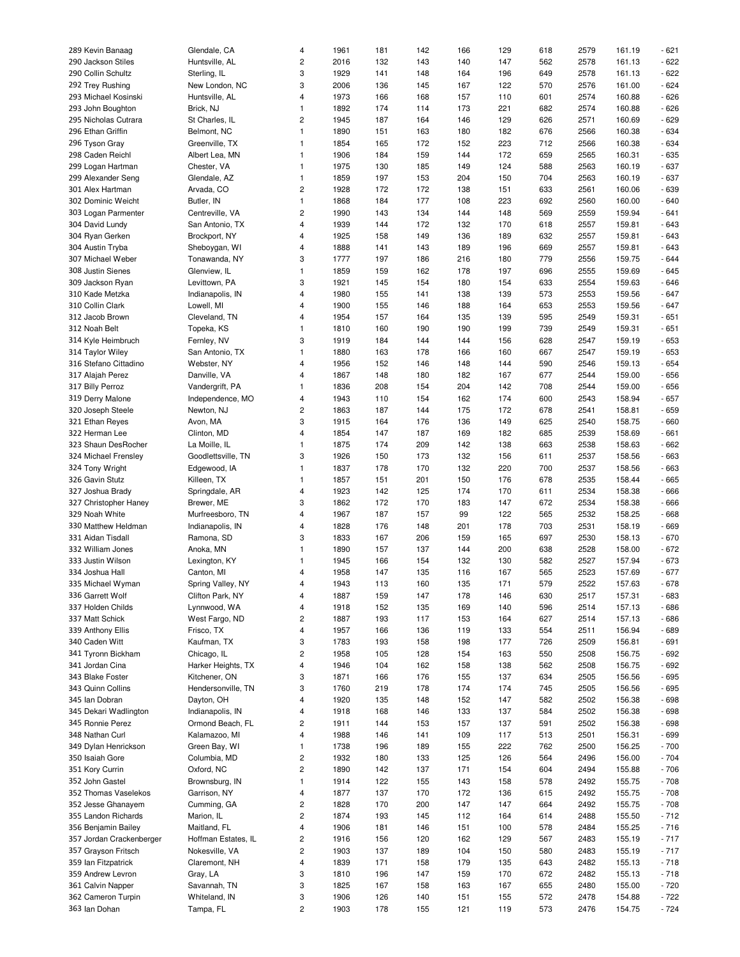| 289 Kevin Banaag         | Glendale, CA        | 4                       | 1961 | 181 | 142 | 166 | 129 | 618 | 2579 | 161.19 | $-621$ |
|--------------------------|---------------------|-------------------------|------|-----|-----|-----|-----|-----|------|--------|--------|
|                          |                     |                         |      |     |     |     |     |     |      |        |        |
| 290 Jackson Stiles       | Huntsville, AL      | 2                       | 2016 | 132 | 143 | 140 | 147 | 562 | 2578 | 161.13 | $-622$ |
| 290 Collin Schultz       | Sterling, IL        | 3                       | 1929 | 141 | 148 | 164 | 196 | 649 | 2578 | 161.13 | $-622$ |
| 292 Trey Rushing         | New London, NC      | 3                       | 2006 | 136 | 145 | 167 | 122 | 570 | 2576 | 161.00 | $-624$ |
| 293 Michael Kosinski     | Huntsville, AL      | 4                       | 1973 | 166 | 168 | 157 | 110 | 601 | 2574 | 160.88 | $-626$ |
|                          |                     |                         |      |     |     |     |     |     |      |        |        |
| 293 John Boughton        | Brick, NJ           | $\mathbf{1}$            | 1892 | 174 | 114 | 173 | 221 | 682 | 2574 | 160.88 | $-626$ |
| 295 Nicholas Cutrara     | St Charles, IL      | 2                       | 1945 | 187 | 164 | 146 | 129 | 626 | 2571 | 160.69 | $-629$ |
| 296 Ethan Griffin        | Belmont, NC         | $\mathbf{1}$            | 1890 | 151 | 163 | 180 | 182 | 676 | 2566 | 160.38 | $-634$ |
| 296 Tyson Gray           | Greenville, TX      | $\mathbf{1}$            | 1854 | 165 | 172 | 152 | 223 | 712 | 2566 | 160.38 | $-634$ |
|                          |                     |                         |      |     |     |     |     |     |      |        |        |
| 298 Caden Reichl         | Albert Lea, MN      | $\mathbf{1}$            | 1906 | 184 | 159 | 144 | 172 | 659 | 2565 | 160.31 | $-635$ |
| 299 Logan Hartman        | Chester, VA         | $\mathbf{1}$            | 1975 | 130 | 185 | 149 | 124 | 588 | 2563 | 160.19 | $-637$ |
| 299 Alexander Seng       | Glendale, AZ        | $\mathbf{1}$            | 1859 | 197 | 153 | 204 | 150 | 704 | 2563 | 160.19 | $-637$ |
| 301 Alex Hartman         | Arvada, CO          | 2                       | 1928 | 172 | 172 | 138 | 151 | 633 | 2561 | 160.06 | $-639$ |
|                          |                     |                         |      |     |     |     |     |     |      |        |        |
| 302 Dominic Weicht       | Butler, IN          | $\mathbf{1}$            | 1868 | 184 | 177 | 108 | 223 | 692 | 2560 | 160.00 | $-640$ |
| 303 Logan Parmenter      | Centreville, VA     | 2                       | 1990 | 143 | 134 | 144 | 148 | 569 | 2559 | 159.94 | $-641$ |
| 304 David Lundy          | San Antonio, TX     | 4                       | 1939 | 144 | 172 | 132 | 170 | 618 | 2557 | 159.81 | $-643$ |
| 304 Ryan Gerken          | Brockport, NY       | 4                       | 1925 | 158 | 149 | 136 | 189 | 632 | 2557 | 159.81 | $-643$ |
|                          |                     |                         |      |     |     |     |     |     |      |        |        |
| 304 Austin Tryba         | Sheboygan, WI       | 4                       | 1888 | 141 | 143 | 189 | 196 | 669 | 2557 | 159.81 | $-643$ |
| 307 Michael Weber        | Tonawanda, NY       | 3                       | 1777 | 197 | 186 | 216 | 180 | 779 | 2556 | 159.75 | $-644$ |
| 308 Justin Sienes        | Glenview, IL        | $\mathbf{1}$            | 1859 | 159 | 162 | 178 | 197 | 696 | 2555 | 159.69 | $-645$ |
| 309 Jackson Ryan         | Levittown, PA       | 3                       | 1921 | 145 | 154 | 180 | 154 | 633 | 2554 | 159.63 | $-646$ |
| 310 Kade Metzka          | Indianapolis, IN    | 4                       | 1980 | 155 | 141 | 138 | 139 | 573 | 2553 | 159.56 | $-647$ |
|                          |                     |                         |      |     |     |     |     |     |      |        |        |
| 310 Collin Clark         | Lowell, MI          | 4                       | 1900 | 155 | 146 | 188 | 164 | 653 | 2553 | 159.56 | $-647$ |
| 312 Jacob Brown          | Cleveland, TN       | 4                       | 1954 | 157 | 164 | 135 | 139 | 595 | 2549 | 159.31 | $-651$ |
| 312 Noah Belt            | Topeka, KS          | 1                       | 1810 | 160 | 190 | 190 | 199 | 739 | 2549 | 159.31 | $-651$ |
| 314 Kyle Heimbruch       | Fernley, NV         | 3                       | 1919 | 184 | 144 | 144 | 156 | 628 | 2547 | 159.19 | $-653$ |
|                          |                     |                         |      |     |     |     |     |     |      |        |        |
| 314 Taylor Wiley         | San Antonio, TX     | 1                       | 1880 | 163 | 178 | 166 | 160 | 667 | 2547 | 159.19 | $-653$ |
| 316 Stefano Cittadino    | Webster, NY         | 4                       | 1956 | 152 | 146 | 148 | 144 | 590 | 2546 | 159.13 | $-654$ |
| 317 Alajah Perez         | Danville, VA        | 4                       | 1867 | 148 | 180 | 182 | 167 | 677 | 2544 | 159.00 | $-656$ |
| 317 Billy Perroz         | Vandergrift, PA     | $\mathbf{1}$            | 1836 | 208 | 154 | 204 | 142 | 708 | 2544 | 159.00 | $-656$ |
| 319 Derry Malone         |                     | 4                       | 1943 |     | 154 | 162 | 174 | 600 | 2543 | 158.94 | $-657$ |
|                          | Independence, MO    |                         |      | 110 |     |     |     |     |      |        |        |
| 320 Joseph Steele        | Newton, NJ          | 2                       | 1863 | 187 | 144 | 175 | 172 | 678 | 2541 | 158.81 | $-659$ |
| 321 Ethan Reyes          | Avon, MA            | 3                       | 1915 | 164 | 176 | 136 | 149 | 625 | 2540 | 158.75 | $-660$ |
| 322 Herman Lee           | Clinton, MD         | 4                       | 1854 | 147 | 187 | 169 | 182 | 685 | 2539 | 158.69 | $-661$ |
| 323 Shaun DesRocher      | La Moille, IL       | 1                       | 1875 | 174 | 209 | 142 | 138 | 663 | 2538 | 158.63 | $-662$ |
|                          |                     | 3                       | 1926 |     |     |     |     |     |      |        |        |
| 324 Michael Frensley     | Goodlettsville, TN  |                         |      | 150 | 173 | 132 | 156 | 611 | 2537 | 158.56 | $-663$ |
| 324 Tony Wright          | Edgewood, IA        | 1                       | 1837 | 178 | 170 | 132 | 220 | 700 | 2537 | 158.56 | $-663$ |
| 326 Gavin Stutz          | Killeen, TX         | 1                       | 1857 | 151 | 201 | 150 | 176 | 678 | 2535 | 158.44 | $-665$ |
| 327 Joshua Brady         | Springdale, AR      | 4                       | 1923 | 142 | 125 | 174 | 170 | 611 | 2534 | 158.38 | $-666$ |
| 327 Christopher Haney    | Brewer, ME          | 3                       | 1862 | 172 | 170 | 183 | 147 | 672 | 2534 | 158.38 | $-666$ |
|                          |                     |                         |      |     |     |     |     |     |      |        |        |
| 329 Noah White           | Murfreesboro, TN    | 4                       | 1967 | 187 | 157 | 99  | 122 | 565 | 2532 | 158.25 | $-668$ |
| 330 Matthew Heldman      | Indianapolis, IN    | 4                       | 1828 | 176 | 148 | 201 | 178 | 703 | 2531 | 158.19 | $-669$ |
| 331 Aidan Tisdall        | Ramona, SD          | 3                       | 1833 | 167 | 206 | 159 | 165 | 697 | 2530 | 158.13 | $-670$ |
| 332 William Jones        | Anoka, MN           | 1                       | 1890 | 157 | 137 | 144 | 200 | 638 | 2528 | 158.00 | $-672$ |
|                          |                     |                         |      |     |     |     |     |     |      |        |        |
| 333 Justin Wilson        | Lexington, KY       | 1                       | 1945 | 166 | 154 | 132 | 130 | 582 | 2527 | 157.94 | $-673$ |
| 334 Joshua Hall          | Canton, MI          | 4                       | 1958 | 147 | 135 | 116 | 167 | 565 | 2523 | 157.69 | $-677$ |
| 335 Michael Wyman        | Spring Valley, NY   | 4                       | 1943 | 113 | 160 | 135 | 171 | 579 | 2522 | 157.63 | $-678$ |
| 336 Garrett Wolf         | Clifton Park, NY    | 4                       | 1887 | 159 | 147 | 178 | 146 | 630 | 2517 | 157.31 | $-683$ |
| 337 Holden Childs        | Lynnwood, WA        | 4                       | 1918 | 152 | 135 | 169 | 140 | 596 | 2514 | 157.13 |        |
|                          |                     |                         |      |     |     |     |     |     |      |        | $-686$ |
| 337 Matt Schick          | West Fargo, ND      | 2                       | 1887 | 193 | 117 | 153 | 164 | 627 | 2514 | 157.13 | $-686$ |
| 339 Anthony Ellis        | Frisco, TX          | 4                       | 1957 | 166 | 136 | 119 | 133 | 554 | 2511 | 156.94 | $-689$ |
| 340 Caden Witt           | Kaufman, TX         | 3                       | 1783 | 193 | 158 | 198 | 177 | 726 | 2509 | 156.81 | $-691$ |
| 341 Tyronn Bickham       | Chicago, IL         | 2                       | 1958 | 105 | 128 | 154 | 163 | 550 | 2508 | 156.75 | $-692$ |
|                          |                     |                         |      |     |     |     |     |     |      |        |        |
| 341 Jordan Cina          | Harker Heights, TX  | 4                       | 1946 | 104 | 162 | 158 | 138 | 562 | 2508 | 156.75 | $-692$ |
| 343 Blake Foster         | Kitchener, ON       | 3                       | 1871 | 166 | 176 | 155 | 137 | 634 | 2505 | 156.56 | $-695$ |
| 343 Quinn Collins        | Hendersonville, TN  | 3                       | 1760 | 219 | 178 | 174 | 174 | 745 | 2505 | 156.56 | $-695$ |
| 345 Ian Dobran           | Dayton, OH          | 4                       | 1920 | 135 | 148 | 152 | 147 | 582 | 2502 | 156.38 | $-698$ |
| 345 Dekari Wadlington    | Indianapolis, IN    | 4                       | 1918 | 168 | 146 | 133 | 137 | 584 | 2502 | 156.38 | $-698$ |
|                          |                     |                         |      |     |     |     |     |     |      |        |        |
| 345 Ronnie Perez         | Ormond Beach, FL    | 2                       | 1911 | 144 | 153 | 157 | 137 | 591 | 2502 | 156.38 | $-698$ |
| 348 Nathan Curl          | Kalamazoo, MI       | 4                       | 1988 | 146 | 141 | 109 | 117 | 513 | 2501 | 156.31 | - 699  |
| 349 Dylan Henrickson     | Green Bay, WI       | $\mathbf{1}$            | 1738 | 196 | 189 | 155 | 222 | 762 | 2500 | 156.25 | $-700$ |
| 350 Isaiah Gore          | Columbia, MD        | 2                       | 1932 | 180 | 133 | 125 | 126 | 564 | 2496 | 156.00 | $-704$ |
| 351 Kory Currin          | Oxford, NC          | $\overline{\mathbf{c}}$ | 1890 | 142 | 137 | 171 | 154 | 604 | 2494 | 155.88 | $-706$ |
|                          |                     |                         |      |     |     |     |     |     |      |        |        |
| 352 John Gastel          | Brownsburg, IN      | $\mathbf{1}$            | 1914 | 122 | 155 | 143 | 158 | 578 | 2492 | 155.75 | $-708$ |
| 352 Thomas Vaselekos     | Garrison, NY        | 4                       | 1877 | 137 | 170 | 172 | 136 | 615 | 2492 | 155.75 | $-708$ |
| 352 Jesse Ghanayem       | Cumming, GA         | 2                       | 1828 | 170 | 200 | 147 | 147 | 664 | 2492 | 155.75 | $-708$ |
| 355 Landon Richards      | Marion, IL          | 2                       | 1874 | 193 | 145 | 112 | 164 | 614 | 2488 | 155.50 | $-712$ |
|                          |                     |                         |      |     |     |     |     |     |      |        |        |
| 356 Benjamin Bailey      | Maitland, FL        | 4                       | 1906 | 181 | 146 | 151 | 100 | 578 | 2484 | 155.25 | $-716$ |
| 357 Jordan Crackenberger | Hoffman Estates, IL | 2                       | 1916 | 156 | 120 | 162 | 129 | 567 | 2483 | 155.19 | $-717$ |
| 357 Grayson Fritsch      | Nokesville, VA      | 2                       | 1903 | 137 | 189 | 104 | 150 | 580 | 2483 | 155.19 | $-717$ |
| 359 Ian Fitzpatrick      | Claremont, NH       | 4                       | 1839 | 171 | 158 | 179 | 135 | 643 | 2482 | 155.13 | $-718$ |
| 359 Andrew Levron        | Gray, LA            | 3                       | 1810 | 196 | 147 | 159 | 170 | 672 | 2482 | 155.13 | $-718$ |
| 361 Calvin Napper        | Savannah, TN        | 3                       | 1825 | 167 | 158 | 163 |     | 655 | 2480 | 155.00 | $-720$ |
|                          |                     |                         |      |     |     |     | 167 |     |      |        |        |
| 362 Cameron Turpin       | Whiteland, IN       | 3                       | 1906 | 126 | 140 | 151 | 155 | 572 | 2478 | 154.88 | $-722$ |
| 363 Ian Dohan            | Tampa, FL           | $\overline{\mathbf{c}}$ | 1903 | 178 | 155 | 121 | 119 | 573 | 2476 | 154.75 | $-724$ |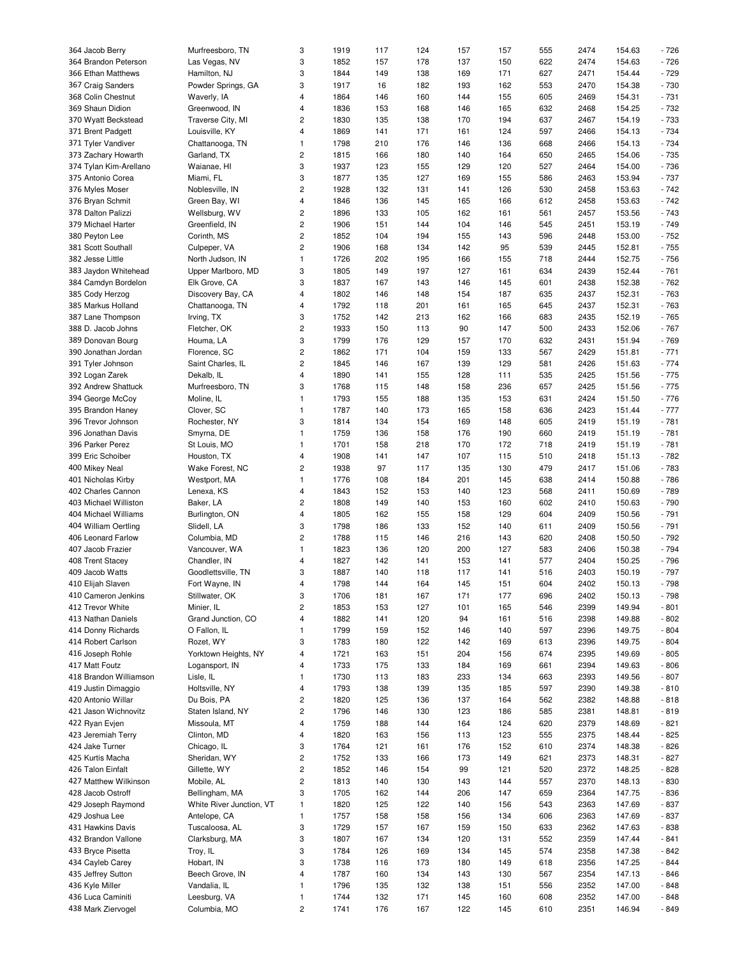| 364 Jacob Berry        | Murfreesboro, TN         | 3                       | 1919 | 117 | 124 | 157 | 157 | 555 | 2474 | 154.63 | $-726$ |
|------------------------|--------------------------|-------------------------|------|-----|-----|-----|-----|-----|------|--------|--------|
| 364 Brandon Peterson   | Las Vegas, NV            | 3                       | 1852 | 157 | 178 | 137 | 150 | 622 | 2474 | 154.63 | $-726$ |
| 366 Ethan Matthews     | Hamilton, NJ             | 3                       | 1844 | 149 | 138 | 169 | 171 | 627 | 2471 | 154.44 | $-729$ |
| 367 Craig Sanders      | Powder Springs, GA       | 3                       | 1917 | 16  | 182 | 193 | 162 | 553 | 2470 | 154.38 | $-730$ |
| 368 Colin Chestnut     | Waverly, IA              | 4                       | 1864 | 146 | 160 | 144 | 155 | 605 | 2469 | 154.31 | $-731$ |
|                        |                          |                         |      |     |     |     |     |     |      |        |        |
| 369 Shaun Didion       | Greenwood, IN            | 4                       | 1836 | 153 | 168 | 146 | 165 | 632 | 2468 | 154.25 | $-732$ |
| 370 Wyatt Beckstead    | Traverse City, MI        | 2                       | 1830 | 135 | 138 | 170 | 194 | 637 | 2467 | 154.19 | $-733$ |
| 371 Brent Padgett      | Louisville, KY           | 4                       | 1869 | 141 | 171 | 161 | 124 | 597 | 2466 | 154.13 | $-734$ |
| 371 Tyler Vandiver     | Chattanooga, TN          | $\mathbf{1}$            | 1798 | 210 | 176 | 146 | 136 | 668 | 2466 | 154.13 | $-734$ |
| 373 Zachary Howarth    | Garland, TX              | 2                       | 1815 | 166 | 180 | 140 | 164 | 650 | 2465 | 154.06 | $-735$ |
| 374 Tylan Kim-Arellano | Waianae, HI              | 3                       | 1937 | 123 | 155 | 129 | 120 | 527 | 2464 | 154.00 | $-736$ |
|                        |                          |                         |      |     |     |     |     |     |      |        |        |
| 375 Antonio Corea      | Miami, FL                | 3                       | 1877 | 135 | 127 | 169 | 155 | 586 | 2463 | 153.94 | $-737$ |
| 376 Myles Moser        | Noblesville, IN          | 2                       | 1928 | 132 | 131 | 141 | 126 | 530 | 2458 | 153.63 | $-742$ |
| 376 Bryan Schmit       | Green Bay, WI            | 4                       | 1846 | 136 | 145 | 165 | 166 | 612 | 2458 | 153.63 | $-742$ |
| 378 Dalton Palizzi     | Wellsburg, WV            | 2                       | 1896 | 133 | 105 | 162 | 161 | 561 | 2457 | 153.56 | $-743$ |
| 379 Michael Harter     | Greenfield, IN           | 2                       | 1906 | 151 | 144 | 104 | 146 | 545 | 2451 | 153.19 | $-749$ |
|                        |                          |                         |      |     |     |     |     |     |      |        |        |
| 380 Peyton Lee         | Corinth, MS              | $\overline{c}$          | 1852 | 104 | 194 | 155 | 143 | 596 | 2448 | 153.00 | $-752$ |
| 381 Scott Southall     | Culpeper, VA             | $\overline{\mathbf{c}}$ | 1906 | 168 | 134 | 142 | 95  | 539 | 2445 | 152.81 | $-755$ |
| 382 Jesse Little       | North Judson, IN         | $\mathbf{1}$            | 1726 | 202 | 195 | 166 | 155 | 718 | 2444 | 152.75 | $-756$ |
| 383 Jaydon Whitehead   | Upper Marlboro, MD       | 3                       | 1805 | 149 | 197 | 127 | 161 | 634 | 2439 | 152.44 | $-761$ |
| 384 Camdyn Bordelon    | Elk Grove, CA            | 3                       | 1837 | 167 | 143 | 146 | 145 | 601 | 2438 | 152.38 | $-762$ |
|                        |                          |                         |      |     |     | 154 |     | 635 |      |        |        |
| 385 Cody Herzog        | Discovery Bay, CA        | 4                       | 1802 | 146 | 148 |     | 187 |     | 2437 | 152.31 | $-763$ |
| 385 Markus Holland     | Chattanooga, TN          | 4                       | 1792 | 118 | 201 | 161 | 165 | 645 | 2437 | 152.31 | $-763$ |
| 387 Lane Thompson      | Irving, TX               | 3                       | 1752 | 142 | 213 | 162 | 166 | 683 | 2435 | 152.19 | $-765$ |
| 388 D. Jacob Johns     | Fletcher, OK             | 2                       | 1933 | 150 | 113 | 90  | 147 | 500 | 2433 | 152.06 | $-767$ |
| 389 Donovan Bourg      | Houma, LA                | 3                       | 1799 | 176 | 129 | 157 | 170 | 632 | 2431 | 151.94 | $-769$ |
| 390 Jonathan Jordan    | Florence, SC             | 2                       | 1862 | 171 | 104 | 159 | 133 | 567 | 2429 | 151.81 | $-771$ |
|                        |                          |                         |      |     |     |     |     |     |      |        |        |
| 391 Tyler Johnson      | Saint Charles, IL        | 2                       | 1845 | 146 | 167 | 139 | 129 | 581 | 2426 | 151.63 | $-774$ |
| 392 Logan Zarek        | Dekalb, IL               | 4                       | 1890 | 141 | 155 | 128 | 111 | 535 | 2425 | 151.56 | $-775$ |
| 392 Andrew Shattuck    | Murfreesboro, TN         | 3                       | 1768 | 115 | 148 | 158 | 236 | 657 | 2425 | 151.56 | $-775$ |
| 394 George McCoy       | Moline, IL               | $\mathbf{1}$            | 1793 | 155 | 188 | 135 | 153 | 631 | 2424 | 151.50 | $-776$ |
| 395 Brandon Haney      | Clover, SC               | $\mathbf{1}$            | 1787 | 140 | 173 | 165 | 158 | 636 | 2423 | 151.44 | $-777$ |
|                        |                          |                         |      |     |     |     |     |     |      |        |        |
| 396 Trevor Johnson     | Rochester, NY            | 3                       | 1814 | 134 | 154 | 169 | 148 | 605 | 2419 | 151.19 | $-781$ |
| 396 Jonathan Davis     | Smyrna, DE               | $\mathbf{1}$            | 1759 | 136 | 158 | 176 | 190 | 660 | 2419 | 151.19 | $-781$ |
| 396 Parker Perez       | St Louis, MO             | 1                       | 1701 | 158 | 218 | 170 | 172 | 718 | 2419 | 151.19 | $-781$ |
| 399 Eric Schoiber      | Houston, TX              | 4                       | 1908 | 141 | 147 | 107 | 115 | 510 | 2418 | 151.13 | $-782$ |
| 400 Mikey Neal         | Wake Forest, NC          | 2                       | 1938 | 97  | 117 | 135 | 130 | 479 | 2417 | 151.06 | $-783$ |
|                        |                          |                         |      |     |     |     |     |     |      |        |        |
| 401 Nicholas Kirby     | Westport, MA             | 1                       | 1776 | 108 | 184 | 201 | 145 | 638 | 2414 | 150.88 | $-786$ |
| 402 Charles Cannon     | Lenexa, KS               | 4                       | 1843 | 152 | 153 | 140 | 123 | 568 | 2411 | 150.69 | $-789$ |
| 403 Michael Williston  | Baker, LA                | 2                       | 1808 | 149 | 140 | 153 | 160 | 602 | 2410 | 150.63 | $-790$ |
| 404 Michael Williams   | Burlington, ON           | 4                       | 1805 | 162 | 155 | 158 | 129 | 604 | 2409 | 150.56 | $-791$ |
| 404 William Oertling   | Slidell, LA              | 3                       | 1798 | 186 | 133 | 152 | 140 | 611 | 2409 | 150.56 | $-791$ |
| 406 Leonard Farlow     | Columbia, MD             | 2                       | 1788 | 115 | 146 | 216 | 143 | 620 | 2408 | 150.50 | $-792$ |
|                        |                          |                         |      |     |     |     |     |     |      |        |        |
| 407 Jacob Frazier      | Vancouver, WA            | $\mathbf{1}$            | 1823 | 136 | 120 | 200 | 127 | 583 | 2406 | 150.38 | $-794$ |
| 408 Trent Stacey       | Chandler, IN             | 4                       | 1827 | 142 | 141 | 153 | 141 | 577 | 2404 | 150.25 | $-796$ |
| 409 Jacob Watts        | Goodlettsville, TN       | 3                       | 1887 | 140 | 118 | 117 | 141 | 516 | 2403 | 150.19 | $-797$ |
| 410 Elijah Slaven      | Fort Wayne, IN           | 4                       | 1798 | 144 | 164 | 145 | 151 | 604 | 2402 | 150.13 | - 798  |
| 410 Cameron Jenkins    | Stillwater, OK           | 3                       | 1706 | 181 | 167 | 171 | 177 | 696 | 2402 | 150.13 | $-798$ |
|                        |                          |                         |      |     |     |     |     |     |      |        |        |
| 412 Trevor White       | Minier, IL               | 2                       | 1853 | 153 | 127 | 101 | 165 | 546 | 2399 | 149.94 | $-801$ |
| 413 Nathan Daniels     | Grand Junction, CO       | 4                       | 1882 | 141 | 120 | 94  | 161 | 516 | 2398 | 149.88 | $-802$ |
| 414 Donny Richards     | O Fallon, IL             | $\mathbf{1}$            | 1799 | 159 | 152 | 146 | 140 | 597 | 2396 | 149.75 | $-804$ |
| 414 Robert Carlson     | Rozet, WY                | 3                       | 1783 | 180 | 122 | 142 | 169 | 613 | 2396 | 149.75 | $-804$ |
| 416 Joseph Rohle       | Yorktown Heights, NY     | 4                       | 1721 | 163 | 151 | 204 | 156 | 674 | 2395 | 149.69 | $-805$ |
| 417 Matt Foutz         | Logansport, IN           | 4                       | 1733 | 175 | 133 | 184 | 169 | 661 | 2394 | 149.63 | $-806$ |
|                        |                          |                         |      |     |     |     |     |     |      |        |        |
| 418 Brandon Williamson | Lisle, IL                | 1                       | 1730 | 113 | 183 | 233 | 134 | 663 | 2393 | 149.56 | $-807$ |
| 419 Justin Dimaggio    | Holtsville, NY           | 4                       | 1793 | 138 | 139 | 135 | 185 | 597 | 2390 | 149.38 | $-810$ |
| 420 Antonio Willar     | Du Bois, PA              | 2                       | 1820 | 125 | 136 | 137 | 164 | 562 | 2382 | 148.88 | $-818$ |
| 421 Jason Wichnovitz   | Staten Island, NY        | 2                       | 1796 | 146 | 130 | 123 | 186 | 585 | 2381 | 148.81 | $-819$ |
| 422 Ryan Evjen         | Missoula, MT             | 4                       | 1759 | 188 | 144 | 164 | 124 | 620 | 2379 | 148.69 | $-821$ |
|                        |                          |                         |      |     |     |     |     |     |      |        |        |
| 423 Jeremiah Terry     | Clinton, MD              | 4                       | 1820 | 163 | 156 | 113 | 123 | 555 | 2375 | 148.44 | $-825$ |
| 424 Jake Turner        | Chicago, IL              | 3                       | 1764 | 121 | 161 | 176 | 152 | 610 | 2374 | 148.38 | $-826$ |
| 425 Kurtis Macha       | Sheridan, WY             | 2                       | 1752 | 133 | 166 | 173 | 149 | 621 | 2373 | 148.31 | $-827$ |
| 426 Talon Einfalt      | Gillette, WY             | $\overline{\mathbf{c}}$ | 1852 | 146 | 154 | 99  | 121 | 520 | 2372 | 148.25 | $-828$ |
| 427 Matthew Wilkinson  | Mobile, AL               | 2                       | 1813 | 140 | 130 | 143 | 144 | 557 | 2370 | 148.13 | $-830$ |
| 428 Jacob Ostroff      | Bellingham, MA           | 3                       | 1705 | 162 | 144 | 206 | 147 | 659 | 2364 | 147.75 | $-836$ |
|                        |                          |                         |      |     |     |     |     |     |      |        |        |
| 429 Joseph Raymond     | White River Junction, VT | $\mathbf{1}$            | 1820 | 125 | 122 | 140 | 156 | 543 | 2363 | 147.69 | $-837$ |
| 429 Joshua Lee         | Antelope, CA             | $\mathbf{1}$            | 1757 | 158 | 158 | 156 | 134 | 606 | 2363 | 147.69 | $-837$ |
| 431 Hawkins Davis      | Tuscaloosa, AL           | 3                       | 1729 | 157 | 167 | 159 | 150 | 633 | 2362 | 147.63 | - 838  |
| 432 Brandon Vallone    | Clarksburg, MA           | 3                       | 1807 | 167 | 134 | 120 | 131 | 552 | 2359 | 147.44 | $-841$ |
| 433 Bryce Pisetta      | Troy, IL                 | 3                       | 1784 | 126 | 169 | 134 | 145 | 574 | 2358 | 147.38 | $-842$ |
|                        |                          | 3                       |      |     |     |     |     |     |      |        |        |
| 434 Cayleb Carey       | Hobart, IN               |                         | 1738 | 116 | 173 | 180 | 149 | 618 | 2356 | 147.25 | $-844$ |
| 435 Jeffrey Sutton     | Beech Grove, IN          | 4                       | 1787 | 160 | 134 | 143 | 130 | 567 | 2354 | 147.13 | $-846$ |
| 436 Kyle Miller        | Vandalia, IL             | 1                       | 1796 | 135 | 132 | 138 | 151 | 556 | 2352 | 147.00 | $-848$ |
| 436 Luca Caminiti      | Leesburg, VA             | $\mathbf{1}$            | 1744 | 132 | 171 | 145 | 160 | 608 | 2352 | 147.00 | $-848$ |
| 438 Mark Ziervogel     | Columbia, MO             | $\overline{\mathbf{c}}$ | 1741 | 176 | 167 | 122 | 145 | 610 | 2351 | 146.94 | $-849$ |
|                        |                          |                         |      |     |     |     |     |     |      |        |        |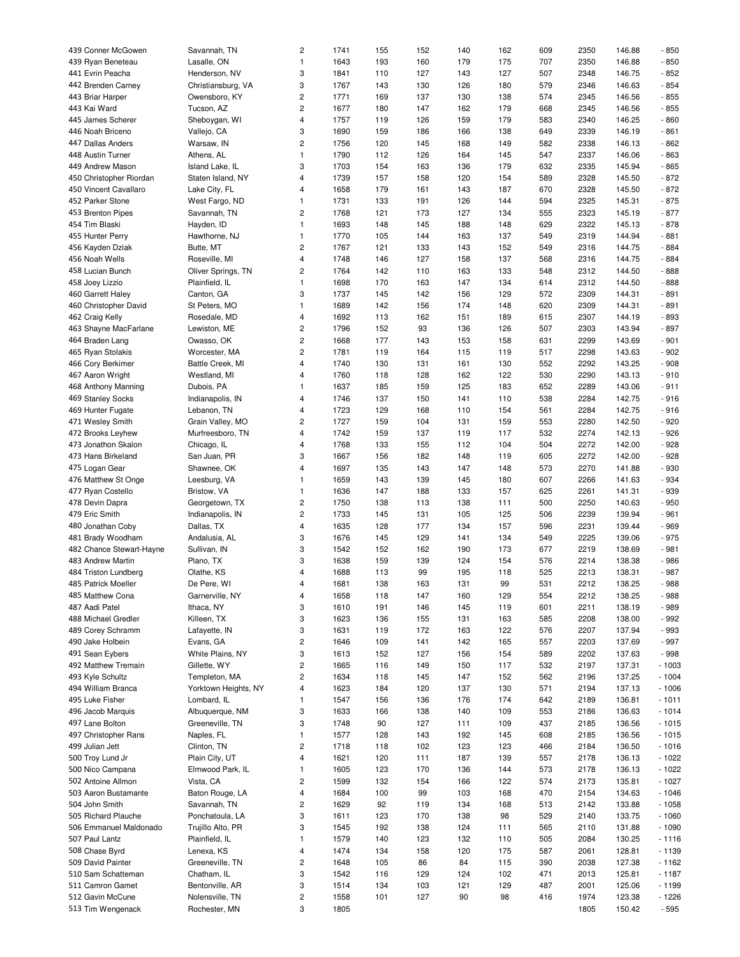| 439 Conner McGowen       | Savannah, TN         | 2                       | 1741 | 155 | 152 | 140 | 162 | 609 | 2350 | 146.88 | $-850$  |
|--------------------------|----------------------|-------------------------|------|-----|-----|-----|-----|-----|------|--------|---------|
|                          |                      |                         |      |     |     |     |     |     |      |        |         |
| 439 Ryan Beneteau        | Lasalle, ON          | $\mathbf{1}$            | 1643 | 193 | 160 | 179 | 175 | 707 | 2350 | 146.88 | $-850$  |
| 441 Evrin Peacha         | Henderson, NV        | 3                       | 1841 | 110 | 127 | 143 | 127 | 507 | 2348 | 146.75 | $-852$  |
| 442 Brenden Carney       | Christiansburg, VA   | 3                       | 1767 | 143 | 130 | 126 | 180 | 579 | 2346 | 146.63 | $-854$  |
| 443 Briar Harper         | Owensboro, KY        | 2                       | 1771 | 169 | 137 | 130 | 138 | 574 | 2345 | 146.56 | $-855$  |
| 443 Kai Ward             | Tucson, AZ           | 2                       | 1677 | 180 | 147 | 162 | 179 | 668 | 2345 | 146.56 | $-855$  |
| 445 James Scherer        | Sheboygan, WI        | 4                       | 1757 | 119 | 126 | 159 | 179 | 583 | 2340 | 146.25 | $-860$  |
|                          |                      |                         |      |     |     |     |     |     |      |        |         |
| 446 Noah Briceno         | Vallejo, CA          | 3                       | 1690 | 159 | 186 | 166 | 138 | 649 | 2339 | 146.19 | $-861$  |
| 447 Dallas Anders        | Warsaw, IN           | 2                       | 1756 | 120 | 145 | 168 | 149 | 582 | 2338 | 146.13 | $-862$  |
| 448 Austin Turner        | Athens, AL           | $\mathbf{1}$            | 1790 | 112 | 126 | 164 | 145 | 547 | 2337 | 146.06 | $-863$  |
| 449 Andrew Mason         | Island Lake, IL      | 3                       | 1703 | 154 | 163 | 136 | 179 | 632 | 2335 | 145.94 | $-865$  |
| 450 Christopher Riordan  | Staten Island, NY    | 4                       | 1739 | 157 | 158 | 120 | 154 | 589 | 2328 | 145.50 | $-872$  |
|                          |                      |                         |      |     |     |     |     |     |      |        |         |
| 450 Vincent Cavallaro    | Lake City, FL        | 4                       | 1658 | 179 | 161 | 143 | 187 | 670 | 2328 | 145.50 | $-872$  |
| 452 Parker Stone         | West Fargo, ND       | $\mathbf{1}$            | 1731 | 133 | 191 | 126 | 144 | 594 | 2325 | 145.31 | $-875$  |
| 453 Brenton Pipes        | Savannah, TN         | 2                       | 1768 | 121 | 173 | 127 | 134 | 555 | 2323 | 145.19 | $-877$  |
| 454 Tim Blaski           | Hayden, ID           | $\mathbf{1}$            | 1693 | 148 | 145 | 188 | 148 | 629 | 2322 | 145.13 | $-878$  |
| 455 Hunter Perry         | Hawthorne, NJ        | $\mathbf{1}$            | 1770 | 105 | 144 | 163 | 137 | 549 | 2319 | 144.94 | $-881$  |
| 456 Kayden Dziak         | Butte, MT            | 2                       | 1767 | 121 | 133 | 143 | 152 | 549 | 2316 | 144.75 | $-884$  |
|                          |                      |                         |      |     |     |     |     |     |      |        |         |
| 456 Noah Wells           | Roseville, MI        | 4                       | 1748 | 146 | 127 | 158 | 137 | 568 | 2316 | 144.75 | $-884$  |
| 458 Lucian Bunch         | Oliver Springs, TN   | 2                       | 1764 | 142 | 110 | 163 | 133 | 548 | 2312 | 144.50 | $-888$  |
| 458 Joey Lizzio          | Plainfield, IL       | $\mathbf{1}$            | 1698 | 170 | 163 | 147 | 134 | 614 | 2312 | 144.50 | - 888   |
| 460 Garrett Haley        | Canton, GA           | 3                       | 1737 | 145 | 142 | 156 | 129 | 572 | 2309 | 144.31 | $-891$  |
| 460 Christopher David    | St Peters, MO        | 1                       | 1689 | 142 | 156 | 174 | 148 | 620 | 2309 | 144.31 | $-891$  |
|                          |                      |                         |      |     |     |     |     |     |      |        |         |
| 462 Craig Kelly          | Rosedale, MD         | 4                       | 1692 | 113 | 162 | 151 | 189 | 615 | 2307 | 144.19 | $-893$  |
| 463 Shayne MacFarlane    | Lewiston, ME         | 2                       | 1796 | 152 | 93  | 136 | 126 | 507 | 2303 | 143.94 | $-897$  |
| 464 Braden Lang          | Owasso, OK           | 2                       | 1668 | 177 | 143 | 153 | 158 | 631 | 2299 | 143.69 | $-901$  |
| 465 Ryan Stolakis        | Worcester, MA        | 2                       | 1781 | 119 | 164 | 115 | 119 | 517 | 2298 | 143.63 | $-902$  |
| 466 Cory Berkimer        | Battle Creek, MI     | 4                       | 1740 | 130 | 131 | 161 | 130 | 552 | 2292 | 143.25 | $-908$  |
| 467 Aaron Wright         | Westland, MI         | 4                       | 1760 | 118 | 128 | 162 | 122 | 530 | 2290 | 143.13 | $-910$  |
|                          |                      |                         |      |     |     |     |     |     |      |        |         |
| 468 Anthony Manning      | Dubois, PA           | 1                       | 1637 | 185 | 159 | 125 | 183 | 652 | 2289 | 143.06 | $-911$  |
| 469 Stanley Socks        | Indianapolis, IN     | 4                       | 1746 | 137 | 150 | 141 | 110 | 538 | 2284 | 142.75 | $-916$  |
| 469 Hunter Fugate        | Lebanon, TN          | 4                       | 1723 | 129 | 168 | 110 | 154 | 561 | 2284 | 142.75 | $-916$  |
| 471 Wesley Smith         | Grain Valley, MO     | 2                       | 1727 | 159 | 104 | 131 | 159 | 553 | 2280 | 142.50 | $-920$  |
| 472 Brooks Leyhew        | Murfreesboro, TN     | 4                       | 1742 | 159 | 137 | 119 | 117 | 532 | 2274 | 142.13 | $-926$  |
| 473 Jonathon Skalon      |                      | 4                       | 1768 |     | 155 | 112 |     | 504 | 2272 | 142.00 | $-928$  |
|                          | Chicago, IL          |                         |      | 133 |     |     | 104 |     |      |        |         |
| 473 Hans Birkeland       | San Juan, PR         | 3                       | 1667 | 156 | 182 | 148 | 119 | 605 | 2272 | 142.00 | $-928$  |
| 475 Logan Gear           | Shawnee, OK          | 4                       | 1697 | 135 | 143 | 147 | 148 | 573 | 2270 | 141.88 | - 930   |
| 476 Matthew St Onge      | Leesburg, VA         | 1                       | 1659 | 143 | 139 | 145 | 180 | 607 | 2266 | 141.63 | $-934$  |
| 477 Ryan Costello        | Bristow, VA          | $\mathbf{1}$            | 1636 | 147 | 188 | 133 | 157 | 625 | 2261 | 141.31 | - 939   |
| 478 Devin Dapra          | Georgetown, TX       | 2                       | 1750 | 138 | 113 | 138 | 111 | 500 | 2250 | 140.63 | $-950$  |
|                          |                      | $\overline{c}$          |      |     |     |     |     |     |      |        |         |
| 479 Eric Smith           | Indianapolis, IN     |                         | 1733 | 145 | 131 | 105 | 125 | 506 | 2239 | 139.94 | $-961$  |
| 480 Jonathan Coby        | Dallas, TX           | 4                       | 1635 | 128 | 177 | 134 | 157 | 596 | 2231 | 139.44 | $-969$  |
| 481 Brady Woodham        | Andalusia, AL        | 3                       | 1676 | 145 | 129 | 141 | 134 | 549 | 2225 | 139.06 | $-975$  |
| 482 Chance Stewart-Hayne | Sullivan, IN         | 3                       | 1542 | 152 | 162 | 190 | 173 | 677 | 2219 | 138.69 | $-981$  |
| 483 Andrew Martin        | Plano, TX            | 3                       | 1638 | 159 | 139 | 124 | 154 | 576 | 2214 | 138.38 | $-986$  |
| 484 Triston Lundberg     | Olathe, KS           | 4                       | 1688 | 113 | 99  | 195 | 118 | 525 | 2213 | 138.31 | - 987   |
|                          |                      |                         |      |     |     |     |     |     |      |        |         |
| 485 Patrick Moeller      | De Pere, WI          | 4                       | 1681 | 138 | 163 | 131 | 99  | 531 | 2212 | 138.25 | - 988   |
| 485 Matthew Cona         | Garnerville, NY      | 4                       | 1658 | 118 | 147 | 160 | 129 | 554 | 2212 | 138.25 | - 988   |
| 487 Aadi Patel           | Ithaca, NY           | 3                       | 1610 | 191 | 146 | 145 | 119 | 601 | 2211 | 138.19 | - 989   |
| 488 Michael Gredler      | Killeen, TX          | 3                       | 1623 | 136 | 155 | 131 | 163 | 585 | 2208 | 138.00 | $-992$  |
| 489 Corey Schramm        | Lafayette, IN        | 3                       | 1631 | 119 | 172 | 163 | 122 | 576 | 2207 | 137.94 | - 993   |
| 490 Jake Holbein         | Evans, GA            | 2                       | 1646 | 109 | 141 | 142 | 165 | 557 | 2203 | 137.69 | - 997   |
|                          |                      |                         |      |     |     |     |     |     |      |        |         |
| 491 Sean Eybers          | White Plains, NY     | 3                       | 1613 | 152 | 127 | 156 | 154 | 589 | 2202 | 137.63 | - 998   |
| 492 Matthew Tremain      | Gillette, WY         | 2                       | 1665 | 116 | 149 | 150 | 117 | 532 | 2197 | 137.31 | $-1003$ |
| 493 Kyle Schultz         | Templeton, MA        | 2                       | 1634 | 118 | 145 | 147 | 152 | 562 | 2196 | 137.25 | $-1004$ |
| 494 William Branca       | Yorktown Heights, NY | 4                       | 1623 | 184 | 120 | 137 | 130 | 571 | 2194 | 137.13 | $-1006$ |
| 495 Luke Fisher          | Lombard, IL          | 1                       | 1547 | 156 | 136 | 176 | 174 | 642 | 2189 | 136.81 | $-1011$ |
| 496 Jacob Marquis        | Albuquerque, NM      | 3                       | 1633 | 166 | 138 | 140 | 109 | 553 | 2186 | 136.63 | $-1014$ |
|                          |                      |                         |      |     |     |     |     |     |      |        |         |
| 497 Lane Bolton          | Greeneville, TN      | 3                       | 1748 | 90  | 127 | 111 | 109 | 437 | 2185 | 136.56 | $-1015$ |
| 497 Christopher Rans     | Naples, FL           | $\mathbf{1}$            | 1577 | 128 | 143 | 192 | 145 | 608 | 2185 | 136.56 | $-1015$ |
| 499 Julian Jett          | Clinton, TN          | $\overline{c}$          | 1718 | 118 | 102 | 123 | 123 | 466 | 2184 | 136.50 | $-1016$ |
| 500 Troy Lund Jr         | Plain City, UT       | 4                       | 1621 | 120 | 111 | 187 | 139 | 557 | 2178 | 136.13 | $-1022$ |
| 500 Nico Campana         | Elmwood Park, IL     | 1                       | 1605 | 123 | 170 | 136 | 144 | 573 | 2178 | 136.13 | $-1022$ |
|                          |                      |                         | 1599 |     |     | 166 |     |     |      |        | $-1027$ |
| 502 Antoine Allmon       | Vista, CA            | 2                       |      | 132 | 154 |     | 122 | 574 | 2173 | 135.81 |         |
| 503 Aaron Bustamante     | Baton Rouge, LA      | 4                       | 1684 | 100 | 99  | 103 | 168 | 470 | 2154 | 134.63 | $-1046$ |
| 504 John Smith           | Savannah, TN         | 2                       | 1629 | 92  | 119 | 134 | 168 | 513 | 2142 | 133.88 | $-1058$ |
| 505 Richard Plauche      | Ponchatoula, LA      | 3                       | 1611 | 123 | 170 | 138 | 98  | 529 | 2140 | 133.75 | $-1060$ |
| 506 Emmanuel Maldonado   | Trujillo Alto, PR    | 3                       | 1545 | 192 | 138 | 124 | 111 | 565 | 2110 | 131.88 | $-1090$ |
| 507 Paul Lantz           | Plainfield, IL       | $\mathbf{1}$            | 1579 | 140 | 123 | 132 | 110 | 505 | 2084 | 130.25 | $-1116$ |
|                          |                      |                         |      |     |     |     |     |     |      |        |         |
| 508 Chase Byrd           | Lenexa, KS           | 4                       | 1474 | 134 | 158 | 120 | 175 | 587 | 2061 | 128.81 | $-1139$ |
| 509 David Painter        | Greeneville, TN      | 2                       | 1648 | 105 | 86  | 84  | 115 | 390 | 2038 | 127.38 | $-1162$ |
| 510 Sam Schatteman       | Chatham, IL          | 3                       | 1542 | 116 | 129 | 124 | 102 | 471 | 2013 | 125.81 | $-1187$ |
| 511 Camron Gamet         | Bentonville, AR      | 3                       | 1514 | 134 | 103 | 121 | 129 | 487 | 2001 | 125.06 | $-1199$ |
| 512 Gavin McCune         | Nolensville, TN      | $\overline{\mathbf{c}}$ | 1558 | 101 | 127 | 90  | 98  | 416 | 1974 | 123.38 | $-1226$ |
| 513 Tim Wengenack        | Rochester, MN        | 3                       | 1805 |     |     |     |     |     | 1805 | 150.42 | $-595$  |
|                          |                      |                         |      |     |     |     |     |     |      |        |         |